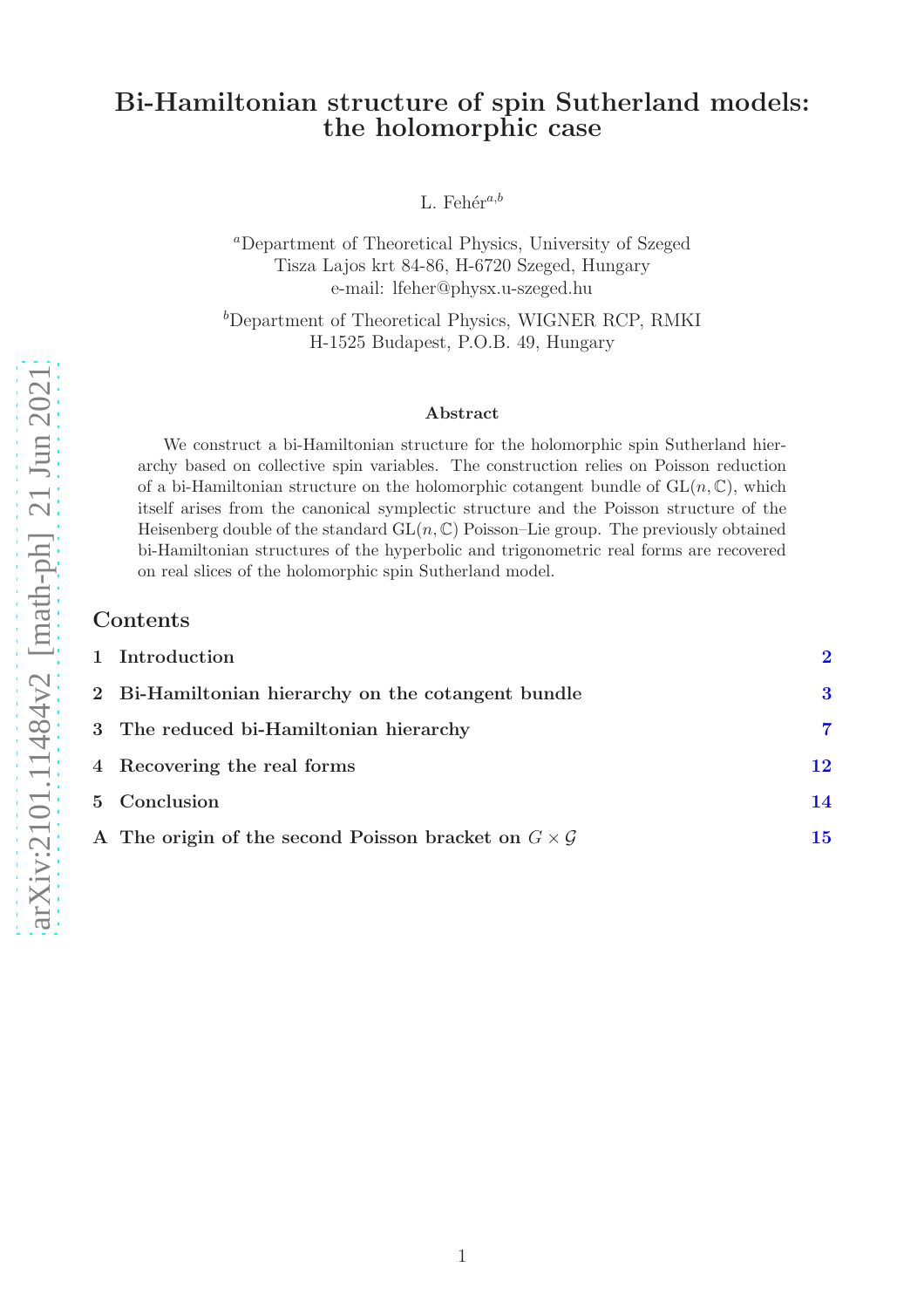## Bi-Hamiltonian structure of spin Sutherland models: the holomorphic case

L. Fehér<sup>a,b</sup>

<sup>a</sup>Department of Theoretical Physics, University of Szeged Tisza Lajos krt 84-86, H-6720 Szeged, Hungary e-mail: lfeher@physx.u-szeged.hu

<sup>b</sup>Department of Theoretical Physics, WIGNER RCP, RMKI H-1525 Budapest, P.O.B. 49, Hungary

#### Abstract

We construct a bi-Hamiltonian structure for the holomorphic spin Sutherland hierarchy based on collective spin variables. The construction relies on Poisson reduction of a bi-Hamiltonian structure on the holomorphic cotangent bundle of  $GL(n, \mathbb{C})$ , which itself arises from the canonical symplectic structure and the Poisson structure of the Heisenberg double of the standard  $GL(n, \mathbb{C})$  Poisson–Lie group. The previously obtained bi-Hamiltonian structures of the hyperbolic and trigonometric real forms are recovered on real slices of the holomorphic spin Sutherland model.

#### Contents

| 1 Introduction                                                       | $\boldsymbol{\mathcal{D}}$ |
|----------------------------------------------------------------------|----------------------------|
| 2 Bi-Hamiltonian hierarchy on the cotangent bundle                   | 3                          |
| 3 The reduced bi-Hamiltonian hierarchy                               | 7                          |
| 4 Recovering the real forms                                          | 12                         |
| 5 Conclusion                                                         | 14                         |
| A The origin of the second Poisson bracket on $G \times \mathcal{G}$ | $\bf 15$                   |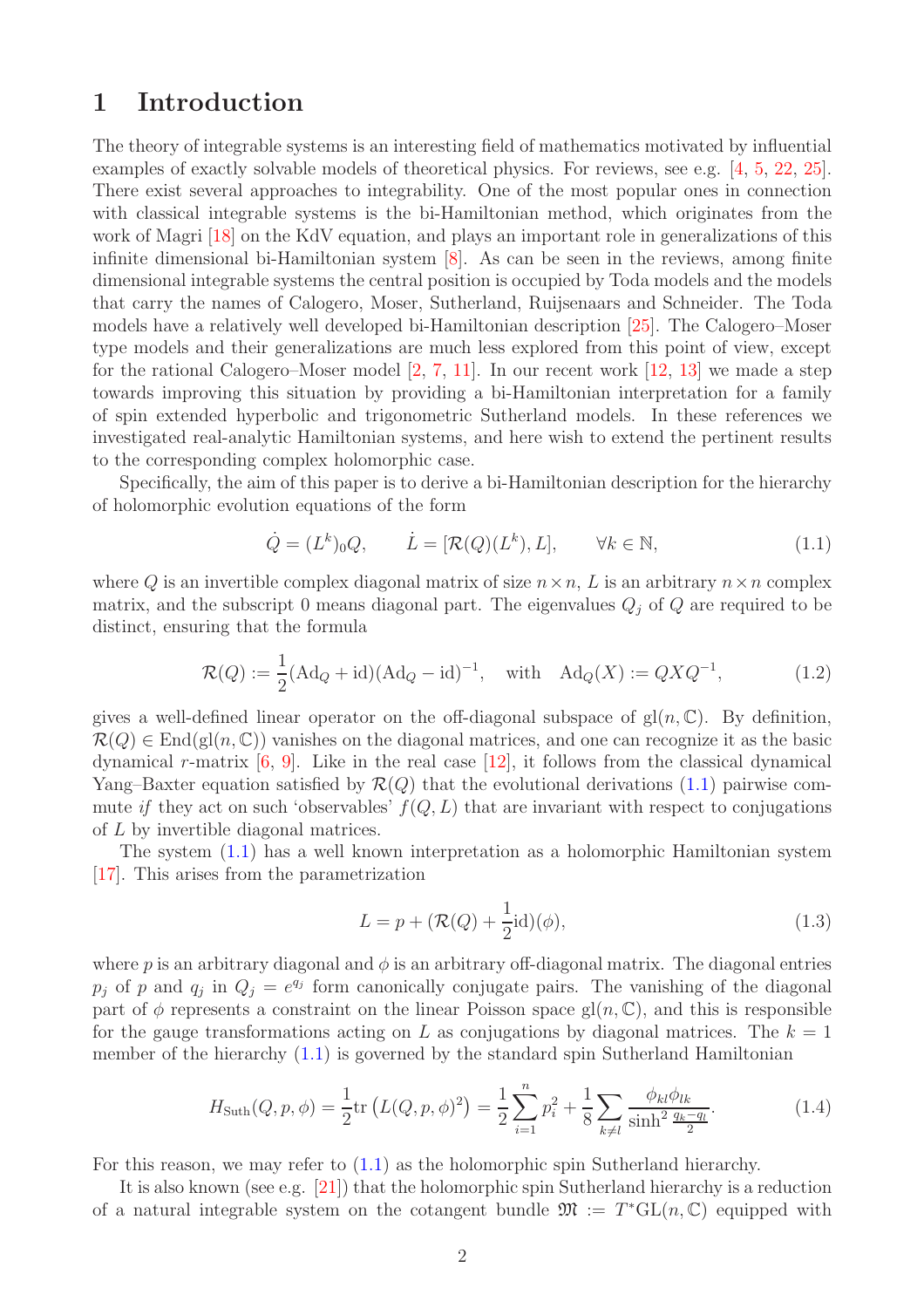# <span id="page-1-0"></span>1 Introduction

The theory of integrable systems is an interesting field of mathematics motivated by influential examples of exactly solvable models of theoretical physics. For reviews, see e.g. [\[4,](#page-18-0) [5,](#page-18-1) [22,](#page-19-0) [25\]](#page-19-1). There exist several approaches to integrability. One of the most popular ones in connection with classical integrable systems is the bi-Hamiltonian method, which originates from the work of Magri [\[18\]](#page-18-2) on the KdV equation, and plays an important role in generalizations of this infinite dimensional bi-Hamiltonian system [\[8\]](#page-18-3). As can be seen in the reviews, among finite dimensional integrable systems the central position is occupied by Toda models and the models that carry the names of Calogero, Moser, Sutherland, Ruijsenaars and Schneider. The Toda models have a relatively well developed bi-Hamiltonian description [\[25\]](#page-19-1). The Calogero–Moser type models and their generalizations are much less explored from this point of view, except for the rational Calogero–Moser model  $[2, 7, 11]$  $[2, 7, 11]$  $[2, 7, 11]$  $[2, 7, 11]$ . In our recent work  $[12, 13]$  $[12, 13]$  we made a step towards improving this situation by providing a bi-Hamiltonian interpretation for a family of spin extended hyperbolic and trigonometric Sutherland models. In these references we investigated real-analytic Hamiltonian systems, and here wish to extend the pertinent results to the corresponding complex holomorphic case.

Specifically, the aim of this paper is to derive a bi-Hamiltonian description for the hierarchy of holomorphic evolution equations of the form

<span id="page-1-1"></span>
$$
\dot{Q} = (L^k)_0 Q, \qquad \dot{L} = [\mathcal{R}(Q)(L^k), L], \qquad \forall k \in \mathbb{N}, \tag{1.1}
$$

where Q is an invertible complex diagonal matrix of size  $n \times n$ , L is an arbitrary  $n \times n$  complex matrix, and the subscript 0 means diagonal part. The eigenvalues  $Q_j$  of Q are required to be distinct, ensuring that the formula

$$
\mathcal{R}(Q) := \frac{1}{2} (\text{Ad}_Q + \text{id}) (\text{Ad}_Q - \text{id})^{-1}, \text{ with } \text{Ad}_Q(X) := QXQ^{-1}, \tag{1.2}
$$

gives a well-defined linear operator on the off-diagonal subspace of  $gl(n, \mathbb{C})$ . By definition,  $\mathcal{R}(Q) \in \text{End}(\text{gl}(n, \mathbb{C}))$  vanishes on the diagonal matrices, and one can recognize it as the basic dynamical r-matrix  $[6, 9]$  $[6, 9]$ . Like in the real case  $[12]$ , it follows from the classical dynamical Yang–Baxter equation satisfied by  $\mathcal{R}(Q)$  that the evolutional derivations [\(1.1\)](#page-1-1) pairwise commute if they act on such 'observables'  $f(Q, L)$  that are invariant with respect to conjugations of L by invertible diagonal matrices.

The system [\(1.1\)](#page-1-1) has a well known interpretation as a holomorphic Hamiltonian system [\[17\]](#page-18-10). This arises from the parametrization

<span id="page-1-2"></span>
$$
L = p + \left(\mathcal{R}(Q) + \frac{1}{2}\mathrm{id}\right)(\phi),\tag{1.3}
$$

where p is an arbitrary diagonal and  $\phi$  is an arbitrary off-diagonal matrix. The diagonal entries  $p_j$  of p and  $q_j$  in  $Q_j = e^{q_j}$  form canonically conjugate pairs. The vanishing of the diagonal part of  $\phi$  represents a constraint on the linear Poisson space gl $(n, \mathbb{C})$ , and this is responsible for the gauge transformations acting on L as conjugations by diagonal matrices. The  $k = 1$ member of the hierarchy [\(1.1\)](#page-1-1) is governed by the standard spin Sutherland Hamiltonian

$$
H_{\text{Suth}}(Q, p, \phi) = \frac{1}{2} \text{tr}\left(L(Q, p, \phi)^2\right) = \frac{1}{2} \sum_{i=1}^n p_i^2 + \frac{1}{8} \sum_{k \neq l} \frac{\phi_{kl} \phi_{lk}}{\sinh^2 \frac{q_k - q_l}{2}}.
$$
(1.4)

For this reason, we may refer to [\(1.1\)](#page-1-1) as the holomorphic spin Sutherland hierarchy.

It is also known (see e.g. [\[21\]](#page-19-2)) that the holomorphic spin Sutherland hierarchy is a reduction of a natural integrable system on the cotangent bundle  $\mathfrak{M} := T^*\mathrm{GL}(n,\mathbb{C})$  equipped with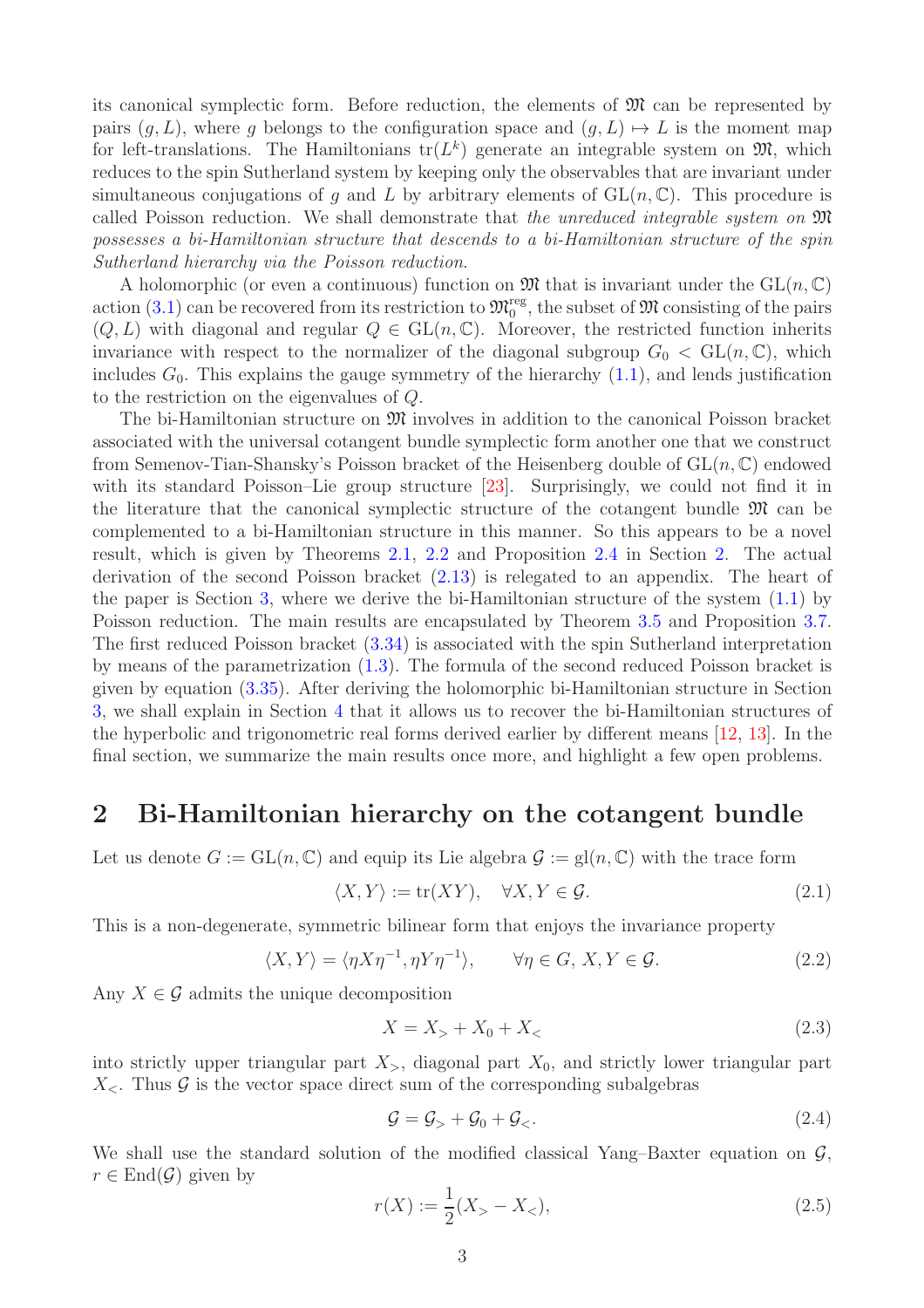its canonical symplectic form. Before reduction, the elements of  $\mathfrak{M}$  can be represented by pairs  $(g, L)$ , where g belongs to the configuration space and  $(g, L) \mapsto L$  is the moment map for left-translations. The Hamiltonians  $tr(L^k)$  generate an integrable system on  $\mathfrak{M}$ , which reduces to the spin Sutherland system by keeping only the observables that are invariant under simultaneous conjugations of g and L by arbitrary elements of  $GL(n,\mathbb{C})$ . This procedure is called Poisson reduction. We shall demonstrate that the unreduced integrable system on  $\mathfrak{M}$ possesses a bi-Hamiltonian structure that descends to a bi-Hamiltonian structure of the spin Sutherland hierarchy via the Poisson reduction.

A holomorphic (or even a continuous) function on  $\mathfrak{M}$  that is invariant under the  $GL(n, \mathbb{C})$ action [\(3.1\)](#page-6-1) can be recovered from its restriction to  $\mathfrak{M}_{0}^{\text{reg}}$ , the subset of  $\mathfrak{M}$  consisting of the pairs  $(Q, L)$  with diagonal and regular  $Q \in GL(n, \mathbb{C})$ . Moreover, the restricted function inherits invariance with respect to the normalizer of the diagonal subgroup  $G_0 < GL(n, \mathbb{C})$ , which includes  $G_0$ . This explains the gauge symmetry of the hierarchy  $(1.1)$ , and lends justification to the restriction on the eigenvalues of Q.

The bi-Hamiltonian structure on  $\mathfrak{M}$  involves in addition to the canonical Poisson bracket associated with the universal cotangent bundle symplectic form another one that we construct from Semenov-Tian-Shansky's Poisson bracket of the Heisenberg double of  $GL(n, \mathbb{C})$  endowed with its standard Poisson–Lie group structure [\[23\]](#page-19-3). Surprisingly, we could not find it in the literature that the canonical symplectic structure of the cotangent bundle  $\mathfrak{M}$  can be complemented to a bi-Hamiltonian structure in this manner. So this appears to be a novel result, which is given by Theorems [2.1,](#page-3-0) [2.2](#page-4-0) and Proposition [2.4](#page-5-0) in Section [2.](#page-2-0) The actual derivation of the second Poisson bracket [\(2.13\)](#page-3-1) is relegated to an appendix. The heart of the paper is Section [3,](#page-6-0) where we derive the bi-Hamiltonian structure of the system [\(1.1\)](#page-1-1) by Poisson reduction. The main results are encapsulated by Theorem [3.5](#page-9-0) and Proposition [3.7.](#page-10-0) The first reduced Poisson bracket [\(3.34\)](#page-9-1) is associated with the spin Sutherland interpretation by means of the parametrization [\(1.3\)](#page-1-2). The formula of the second reduced Poisson bracket is given by equation [\(3.35\)](#page-9-2). After deriving the holomorphic bi-Hamiltonian structure in Section [3,](#page-6-0) we shall explain in Section [4](#page-11-0) that it allows us to recover the bi-Hamiltonian structures of the hyperbolic and trigonometric real forms derived earlier by different means [\[12,](#page-18-6) [13\]](#page-18-7). In the final section, we summarize the main results once more, and highlight a few open problems.

## <span id="page-2-0"></span>2 Bi-Hamiltonian hierarchy on the cotangent bundle

Let us denote  $G := GL(n, \mathbb{C})$  and equip its Lie algebra  $\mathcal{G} := gl(n, \mathbb{C})$  with the trace form

<span id="page-2-1"></span>
$$
\langle X, Y \rangle := \text{tr}(XY), \quad \forall X, Y \in \mathcal{G}.
$$
\n
$$
(2.1)
$$

This is a non-degenerate, symmetric bilinear form that enjoys the invariance property

<span id="page-2-2"></span>
$$
\langle X, Y \rangle = \langle \eta X \eta^{-1}, \eta Y \eta^{-1} \rangle, \qquad \forall \eta \in G, X, Y \in \mathcal{G}.
$$
 (2.2)

Any  $X \in \mathcal{G}$  admits the unique decomposition

<span id="page-2-4"></span>
$$
X = X_> + X_0 + X_< \t\t(2.3)
$$

into strictly upper triangular part  $X_>,$  diagonal part  $X_0$ , and strictly lower triangular part  $X_{\leq}$ . Thus  $\mathcal G$  is the vector space direct sum of the corresponding subalgebras

<span id="page-2-3"></span>
$$
\mathcal{G} = \mathcal{G}_{>} + \mathcal{G}_{0} + \mathcal{G}_{<}. \tag{2.4}
$$

We shall use the standard solution of the modified classical Yang–Baxter equation on  $\mathcal{G}$ ,  $r \in \text{End}(\mathcal{G})$  given by

<span id="page-2-5"></span>
$$
r(X) := \frac{1}{2}(X_{>} - X_{<}),
$$
\n(2.5)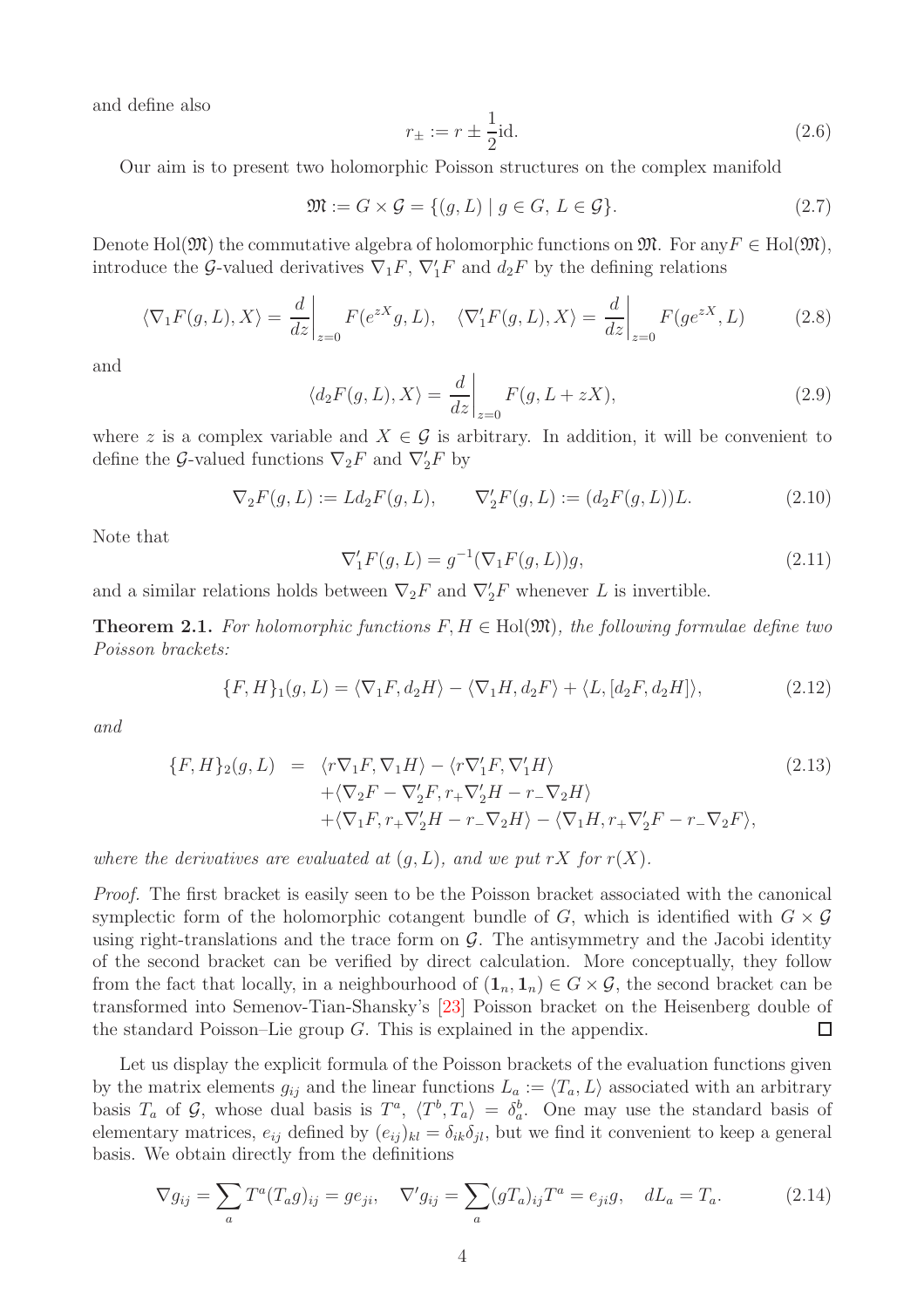and define also

<span id="page-3-6"></span>
$$
r_{\pm} := r \pm \frac{1}{2} \text{id}.
$$
 (2.6)

Our aim is to present two holomorphic Poisson structures on the complex manifold

<span id="page-3-3"></span>
$$
\mathfrak{M} := G \times \mathcal{G} = \{ (g, L) \mid g \in G, L \in \mathcal{G} \}. \tag{2.7}
$$

Denote Hol( $\mathfrak{M}$ ) the commutative algebra of holomorphic functions on  $\mathfrak{M}$ . For any  $F \in Hol(\mathfrak{M})$ , introduce the G-valued derivatives  $\nabla_1 F$ ,  $\nabla'_1 F$  and  $d_2 F$  by the defining relations

<span id="page-3-5"></span>
$$
\langle \nabla_1 F(g, L), X \rangle = \frac{d}{dz} \bigg|_{z=0} F(e^{zX}g, L), \quad \langle \nabla_1' F(g, L), X \rangle = \frac{d}{dz} \bigg|_{z=0} F(g e^{zX}, L) \tag{2.8}
$$

and

$$
\langle d_2 F(g, L), X \rangle = \left. \frac{d}{dz} \right|_{z=0} F(g, L + zX), \tag{2.9}
$$

where z is a complex variable and  $X \in \mathcal{G}$  is arbitrary. In addition, it will be convenient to define the G-valued functions  $\nabla_2 F$  and  $\nabla_2' F$  by

<span id="page-3-2"></span>
$$
\nabla_2 F(g, L) := L d_2 F(g, L), \qquad \nabla_2' F(g, L) := (d_2 F(g, L)) L.
$$
\n(2.10)

Note that

$$
\nabla_1' F(g, L) = g^{-1}(\nabla_1 F(g, L))g,
$$
\n(2.11)

and a similar relations holds between  $\nabla_2 F$  and  $\nabla_2' F$  whenever L is invertible.

<span id="page-3-0"></span>**Theorem 2.1.** For holomorphic functions  $F, H \in Hol(\mathfrak{M})$ , the following formulae define two Poisson brackets:

<span id="page-3-4"></span>
$$
\{F, H\}_1(g, L) = \langle \nabla_1 F, d_2 H \rangle - \langle \nabla_1 H, d_2 F \rangle + \langle L, [d_2 F, d_2 H] \rangle, \tag{2.12}
$$

and

<span id="page-3-1"></span>
$$
\{F, H\}_2(g, L) = \langle r\nabla_1 F, \nabla_1 H \rangle - \langle r\nabla_1' F, \nabla_1' H \rangle \n+ \langle \nabla_2 F - \nabla_2' F, r_+ \nabla_2' H - r_- \nabla_2 H \rangle \n+ \langle \nabla_1 F, r_+ \nabla_2' H - r_- \nabla_2 H \rangle - \langle \nabla_1 H, r_+ \nabla_2' F - r_- \nabla_2 F \rangle,
$$
\n(2.13)

where the derivatives are evaluated at  $(q, L)$ , and we put rX for  $r(X)$ .

Proof. The first bracket is easily seen to be the Poisson bracket associated with the canonical symplectic form of the holomorphic cotangent bundle of G, which is identified with  $G \times \mathcal{G}$ using right-translations and the trace form on  $\mathcal G$ . The antisymmetry and the Jacobi identity of the second bracket can be verified by direct calculation. More conceptually, they follow from the fact that locally, in a neighbourhood of  $(1_n, 1_n) \in G \times G$ , the second bracket can be transformed into Semenov-Tian-Shansky's [\[23\]](#page-19-3) Poisson bracket on the Heisenberg double of the standard Poisson–Lie group  $G$ . This is explained in the appendix.  $\Box$ 

Let us display the explicit formula of the Poisson brackets of the evaluation functions given by the matrix elements  $g_{ij}$  and the linear functions  $L_a := \langle T_a, L \rangle$  associated with an arbitrary basis  $T_a$  of  $\mathcal G$ , whose dual basis is  $T^a$ ,  $\langle T^b, T_a \rangle = \delta_a^b$ . One may use the standard basis of elementary matrices,  $e_{ij}$  defined by  $(e_{ij})_{kl} = \delta_{ik}\delta_{jl}$ , but we find it convenient to keep a general basis. We obtain directly from the definitions

$$
\nabla g_{ij} = \sum_{a} T^{a} (T_{a} g)_{ij} = g e_{ji}, \quad \nabla' g_{ij} = \sum_{a} (g T_{a})_{ij} T^{a} = e_{ji} g, \quad dL_{a} = T_{a}.
$$
 (2.14)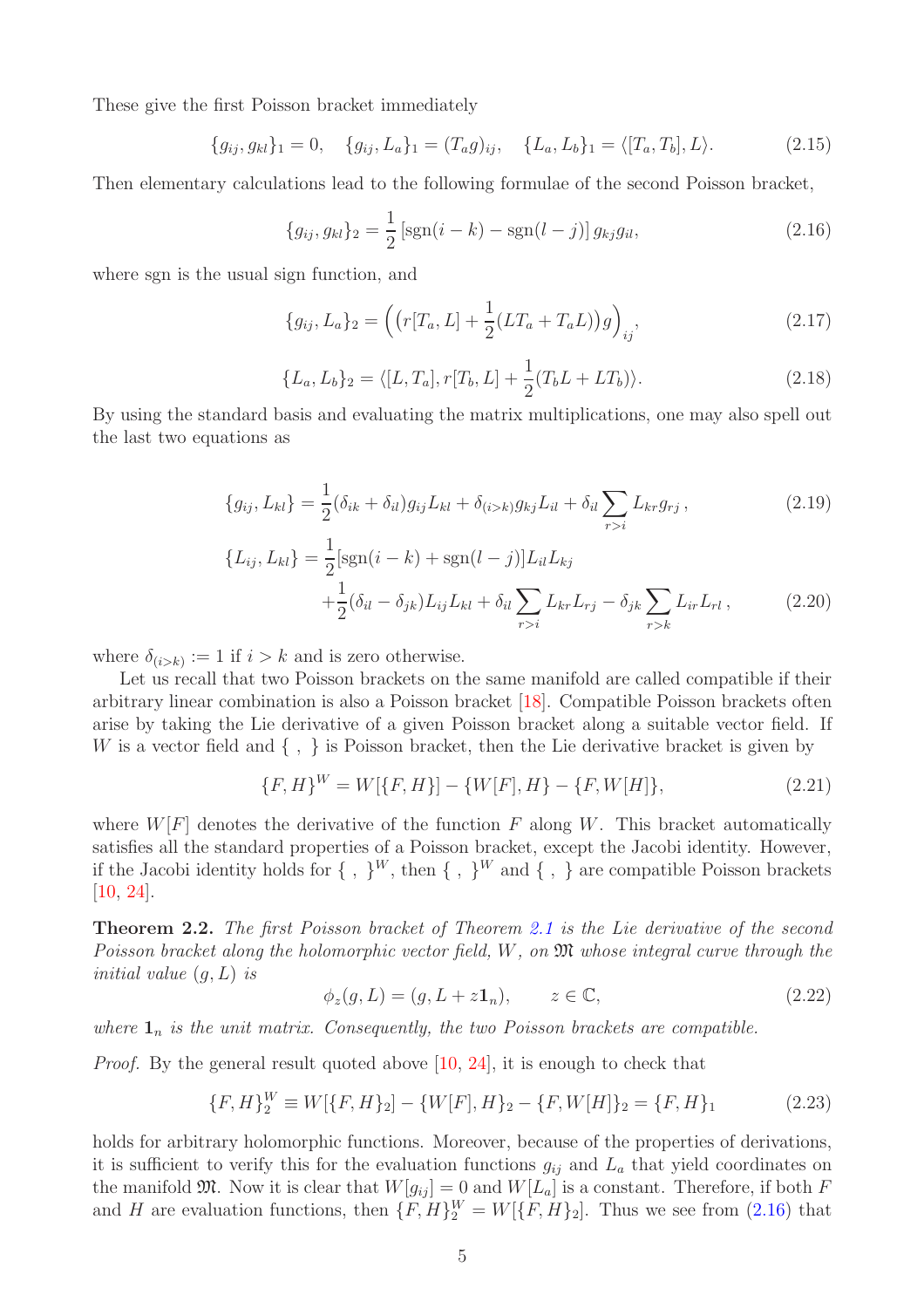These give the first Poisson bracket immediately

<span id="page-4-4"></span>
$$
\{g_{ij}, g_{kl}\}_1 = 0, \quad \{g_{ij}, L_a\}_1 = (T_a g)_{ij}, \quad \{L_a, L_b\}_1 = \langle [T_a, T_b], L\rangle.
$$
 (2.15)

Then elementary calculations lead to the following formulae of the second Poisson bracket,

<span id="page-4-1"></span>
$$
\{g_{ij}, g_{kl}\}_2 = \frac{1}{2} \left[ \text{sgn}(i-k) - \text{sgn}(l-j) \right] g_{kj} g_{il}, \tag{2.16}
$$

where sgn is the usual sign function, and

<span id="page-4-2"></span>
$$
\{g_{ij}, L_a\}_2 = \left( \left( r[T_a, L] + \frac{1}{2} (LT_a + T_a L) \right) g \right)_{ij}, \tag{2.17}
$$

<span id="page-4-3"></span>
$$
\{L_a, L_b\}_2 = \langle [L, T_a], r[T_b, L] + \frac{1}{2}(T_b L + LT_b) \rangle.
$$
 (2.18)

By using the standard basis and evaluating the matrix multiplications, one may also spell out the last two equations as

$$
\{g_{ij}, L_{kl}\} = \frac{1}{2}(\delta_{ik} + \delta_{il})g_{ij}L_{kl} + \delta_{(i>k)}g_{kj}L_{il} + \delta_{il}\sum_{r>i} L_{kr}g_{rj},
$$
\n(2.19)

$$
\{L_{ij}, L_{kl}\} = \frac{1}{2} [\text{sgn}(i - k) + \text{sgn}(l - j)] L_{il} L_{kj} + \frac{1}{2} (\delta_{il} - \delta_{jk}) L_{ij} L_{kl} + \delta_{il} \sum_{r > i} L_{kr} L_{rj} - \delta_{jk} \sum_{r > k} L_{ir} L_{rl} ,
$$
 (2.20)

where  $\delta_{(i>k)} := 1$  if  $i > k$  and is zero otherwise.

Let us recall that two Poisson brackets on the same manifold are called compatible if their arbitrary linear combination is also a Poisson bracket [\[18\]](#page-18-2). Compatible Poisson brackets often arise by taking the Lie derivative of a given Poisson bracket along a suitable vector field. If W is a vector field and  $\{ , \}$  is Poisson bracket, then the Lie derivative bracket is given by

$$
\{F, H\}^W = W[\{F, H\}] - \{W[F], H\} - \{F, W[H]\},\tag{2.21}
$$

where  $W[F]$  denotes the derivative of the function F along W. This bracket automatically satisfies all the standard properties of a Poisson bracket, except the Jacobi identity. However, if the Jacobi identity holds for  $\{\ ,\ \}^W$ , then  $\{\ ,\ \}^W$  and  $\{\ ,\ \}$  are compatible Poisson brackets [\[10,](#page-18-11) [24\]](#page-19-4).

<span id="page-4-0"></span>Theorem 2.2. The first Poisson bracket of Theorem [2.1](#page-3-0) is the Lie derivative of the second Poisson bracket along the holomorphic vector field,  $W$ , on  $\mathfrak{M}$  whose integral curve through the initial value  $(q, L)$  is

$$
\phi_z(g, L) = (g, L + z\mathbf{1}_n), \qquad z \in \mathbb{C}, \tag{2.22}
$$

where  $\mathbf{1}_n$  is the unit matrix. Consequently, the two Poisson brackets are compatible.

*Proof.* By the general result quoted above [\[10,](#page-18-11) [24\]](#page-19-4), it is enough to check that

$$
\{F, H\}_2^W \equiv W[\{F, H\}_2] - \{W[F], H\}_2 - \{F, W[H]\}_2 = \{F, H\}_1 \tag{2.23}
$$

holds for arbitrary holomorphic functions. Moreover, because of the properties of derivations, it is sufficient to verify this for the evaluation functions  $g_{ij}$  and  $L_a$  that yield coordinates on the manifold  $\mathfrak{M}$ . Now it is clear that  $W[g_{ij}] = 0$  and  $W[L_a]$  is a constant. Therefore, if both F and H are evaluation functions, then  $\{F, H\}_2^W = W[\{F, H\}_2]$ . Thus we see from [\(2.16\)](#page-4-1) that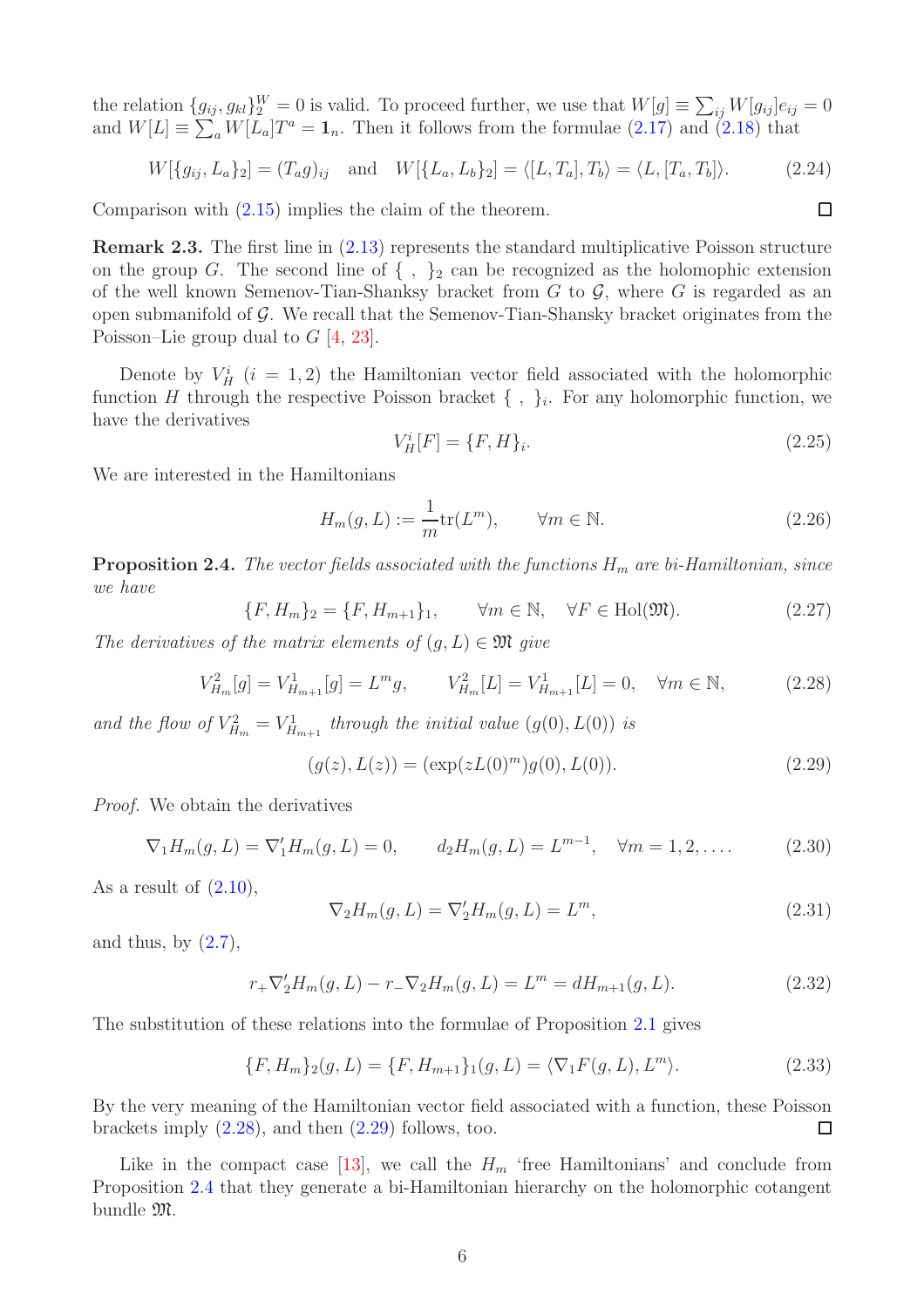the relation  $\{g_{ij}, g_{kl}\}_{2}^W = 0$  is valid. To proceed further, we use that  $W[g] \equiv \sum_{ij} W[g_{ij}]e_{ij} = 0$ and  $W[L] \equiv \sum_a W[L_a]T^a = \mathbf{1}_n$ . Then it follows from the formulae [\(2.17\)](#page-4-2) and [\(2.18\)](#page-4-3) that

$$
W[\{g_{ij}, L_a\}_2] = (T_a g)_{ij} \text{ and } W[\{L_a, L_b\}_2] = \langle [L, T_a], T_b \rangle = \langle L, [T_a, T_b] \rangle. \tag{2.24}
$$

Comparison with [\(2.15\)](#page-4-4) implies the claim of the theorem.

Remark 2.3. The first line in [\(2.13\)](#page-3-1) represents the standard multiplicative Poisson structure on the group G. The second line of  $\{ , \}$ <sub>2</sub> can be recognized as the holomophic extension of the well known Semenov-Tian-Shanksy bracket from  $G$  to  $\mathcal{G}$ , where  $G$  is regarded as an open submanifold of  $\mathcal G$ . We recall that the Semenov-Tian-Shansky bracket originates from the Poisson–Lie group dual to  $G$  [\[4,](#page-18-0) [23\]](#page-19-3).

Denote by  $V_H^i$  ( $i = 1, 2$ ) the Hamiltonian vector field associated with the holomorphic function H through the respective Poisson bracket  $\{\ ,\ \}_i$ . For any holomorphic function, we have the derivatives

$$
V_H^i[F] = \{F, H\}_i. \tag{2.25}
$$

 $\Box$ 

We are interested in the Hamiltonians

$$
H_m(g, L) := \frac{1}{m} \text{tr}(L^m), \qquad \forall m \in \mathbb{N}.
$$
 (2.26)

<span id="page-5-0"></span>**Proposition 2.4.** The vector fields associated with the functions  $H_m$  are bi-Hamiltonian, since we have

 ${F, H_m}_2 = {F, H_{m+1}}_1, \quad \forall m \in \mathbb{N}, \quad \forall F \in Hol(\mathfrak{M}).$  (2.27)

The derivatives of the matrix elements of  $(q, L) \in \mathfrak{M}$  give

<span id="page-5-1"></span>
$$
V_{H_m}^2[g] = V_{H_{m+1}}^1[g] = L^m g, \qquad V_{H_m}^2[L] = V_{H_{m+1}}^1[L] = 0, \quad \forall m \in \mathbb{N}, \tag{2.28}
$$

and the flow of  $V_{H_m}^2 = V_{H_{m+1}}^1$  through the initial value  $(g(0), L(0))$  is

<span id="page-5-2"></span>
$$
(g(z), L(z)) = (\exp(zL(0)^m)g(0), L(0)).
$$
\n(2.29)

Proof. We obtain the derivatives

$$
\nabla_1 H_m(g, L) = \nabla_1' H_m(g, L) = 0, \qquad d_2 H_m(g, L) = L^{m-1}, \quad \forall m = 1, 2, .... \tag{2.30}
$$

As a result of  $(2.10)$ ,

$$
\nabla_2 H_m(g, L) = \nabla_2' H_m(g, L) = L^m,
$$
\n(2.31)

and thus, by  $(2.7)$ ,

$$
r_{+}\nabla'_{2}H_{m}(g, L) - r_{-}\nabla_{2}H_{m}(g, L) = L^{m} = dH_{m+1}(g, L). \qquad (2.32)
$$

The substitution of these relations into the formulae of Proposition [2.1](#page-3-0) gives

$$
\{F, H_m\}_2(g, L) = \{F, H_{m+1}\}_1(g, L) = \langle \nabla_1 F(g, L), L^m \rangle. \tag{2.33}
$$

By the very meaning of the Hamiltonian vector field associated with a function, these Poisson brackets imply  $(2.28)$ , and then  $(2.29)$  follows, too.  $\Box$ 

Like in the compact case [\[13\]](#page-18-7), we call the  $H_m$  'free Hamiltonians' and conclude from Proposition [2.4](#page-5-0) that they generate a bi-Hamiltonian hierarchy on the holomorphic cotangent bundle M.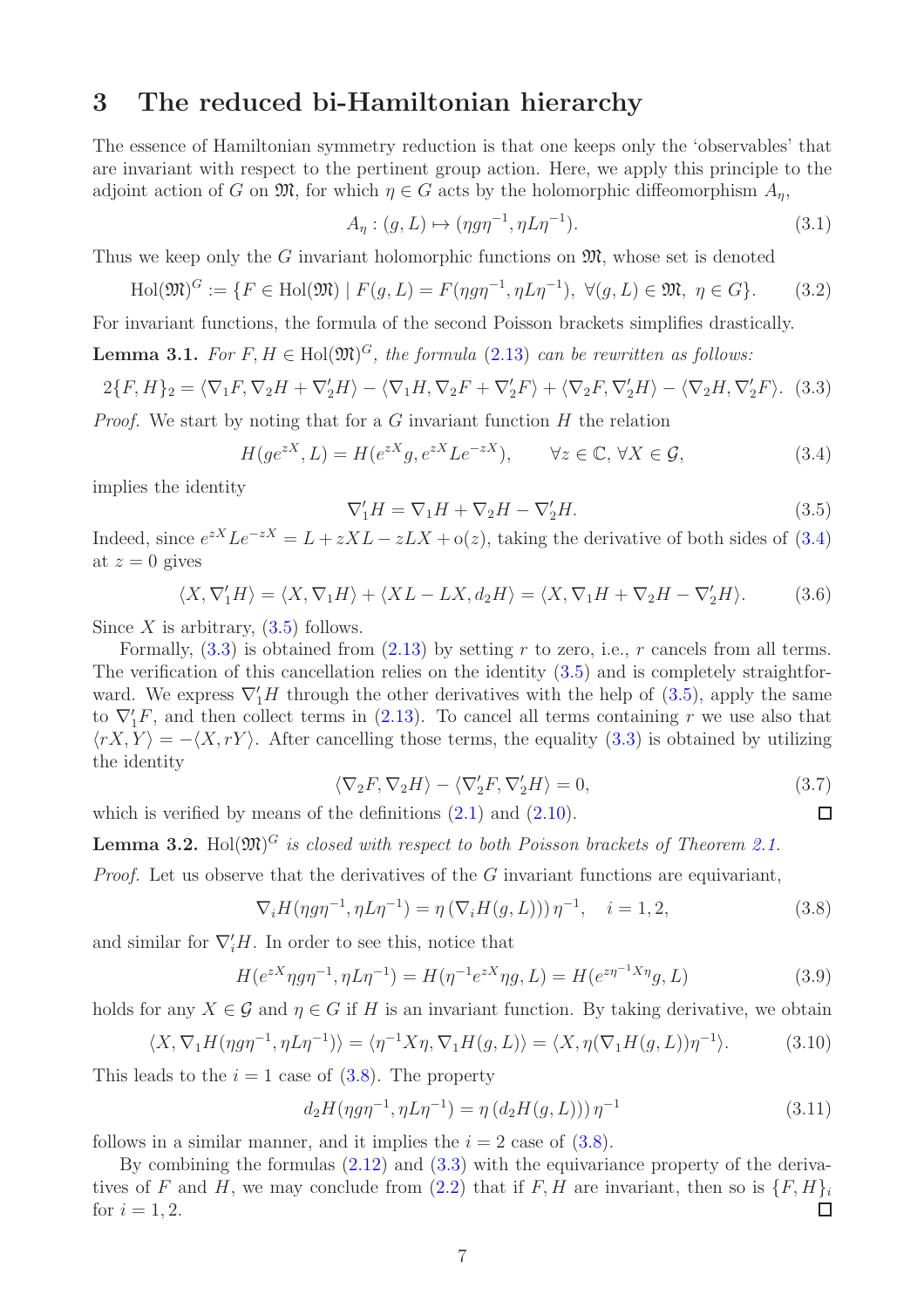# <span id="page-6-0"></span>3 The reduced bi-Hamiltonian hierarchy

The essence of Hamiltonian symmetry reduction is that one keeps only the 'observables' that are invariant with respect to the pertinent group action. Here, we apply this principle to the adjoint action of G on  $\mathfrak{M}$ , for which  $\eta \in G$  acts by the holomorphic diffeomorphism  $A_{\eta}$ ,

<span id="page-6-1"></span>
$$
A_{\eta}: (g, L) \mapsto (\eta g \eta^{-1}, \eta L \eta^{-1}). \tag{3.1}
$$

Thus we keep only the G invariant holomorphic functions on  $\mathfrak{M}$ , whose set is denoted

$$
\text{Hol}(\mathfrak{M})^G := \{ F \in \text{Hol}(\mathfrak{M}) \mid F(g, L) = F(\eta g \eta^{-1}, \eta L \eta^{-1}), \ \forall (g, L) \in \mathfrak{M}, \ \eta \in G \}. \tag{3.2}
$$

For invariant functions, the formula of the second Poisson brackets simplifies drastically.

**Lemma 3.1.** For 
$$
F, H \in Hol(\mathfrak{M})^G
$$
, the formula (2.13) can be rewritten as follows:

<span id="page-6-4"></span>
$$
2\{F,H\}_2 = \langle \nabla_1 F, \nabla_2 H + \nabla_2' H \rangle - \langle \nabla_1 H, \nabla_2 F + \nabla_2' F \rangle + \langle \nabla_2 F, \nabla_2' H \rangle - \langle \nabla_2 H, \nabla_2' F \rangle. \tag{3.3}
$$

*Proof.* We start by noting that for a  $G$  invariant function  $H$  the relation

<span id="page-6-2"></span>
$$
H(ge^{zX}, L) = H(e^{zX}g, e^{zX}Le^{-zX}), \qquad \forall z \in \mathbb{C}, \forall X \in \mathcal{G},
$$
\n(3.4)

implies the identity

<span id="page-6-3"></span>
$$
\nabla_1' H = \nabla_1 H + \nabla_2 H - \nabla_2' H. \tag{3.5}
$$

Indeed, since  $e^{zX} L e^{-zX} = L + zXL - zLX + o(z)$ , taking the derivative of both sides of [\(3.4\)](#page-6-2) at  $z = 0$  gives

$$
\langle X, \nabla_1' H \rangle = \langle X, \nabla_1 H \rangle + \langle XL - LX, d_2 H \rangle = \langle X, \nabla_1 H + \nabla_2 H - \nabla_2' H \rangle.
$$
 (3.6)

Since X is arbitrary,  $(3.5)$  follows.

Formally,  $(3.3)$  is obtained from  $(2.13)$  by setting r to zero, i.e., r cancels from all terms. The verification of this cancellation relies on the identity [\(3.5\)](#page-6-3) and is completely straightforward. We express  $\nabla_1' H$  through the other derivatives with the help of [\(3.5\)](#page-6-3), apply the same to  $\nabla_1' F$ , and then collect terms in [\(2.13\)](#page-3-1). To cancel all terms containing r we use also that  $\langle rX, Y \rangle = -\langle X, rY \rangle$ . After cancelling those terms, the equality [\(3.3\)](#page-6-4) is obtained by utilizing the identity

$$
\langle \nabla_2 F, \nabla_2 H \rangle - \langle \nabla_2' F, \nabla_2' H \rangle = 0,\tag{3.7}
$$

 $\Box$ 

which is verified by means of the definitions  $(2.1)$  and  $(2.10)$ .

<span id="page-6-6"></span>**Lemma 3.2.** Hol $(\mathfrak{M})^G$  is closed with respect to both Poisson brackets of Theorem [2.1.](#page-3-0)

*Proof.* Let us observe that the derivatives of the  $G$  invariant functions are equivariant,

<span id="page-6-5"></span>
$$
\nabla_i H(\eta g \eta^{-1}, \eta L \eta^{-1}) = \eta \left( \nabla_i H(g, L) \right) \eta^{-1}, \quad i = 1, 2,
$$
\n(3.8)

and similar for  $\nabla_i H$ . In order to see this, notice that

$$
H(e^{zX}\eta g\eta^{-1}, \eta L\eta^{-1}) = H(\eta^{-1}e^{zX}\eta g, L) = H(e^{z\eta^{-1}X\eta}g, L)
$$
\n(3.9)

holds for any  $X \in \mathcal{G}$  and  $\eta \in G$  if H is an invariant function. By taking derivative, we obtain

$$
\langle X, \nabla_1 H(\eta g \eta^{-1}, \eta L \eta^{-1}) \rangle = \langle \eta^{-1} X \eta, \nabla_1 H(g, L) \rangle = \langle X, \eta (\nabla_1 H(g, L)) \eta^{-1} \rangle. \tag{3.10}
$$

This leads to the  $i = 1$  case of  $(3.8)$ . The property

$$
d_2H(\eta g \eta^{-1}, \eta L \eta^{-1}) = \eta (d_2H(g, L))) \eta^{-1}
$$
\n(3.11)

follows in a similar manner, and it implies the  $i = 2$  case of  $(3.8)$ .

By combining the formulas  $(2.12)$  and  $(3.3)$  with the equivariance property of the deriva-tives of F and H, we may conclude from [\(2.2\)](#page-2-2) that if F, H are invariant, then so is  $\{F, H\}_i$ for  $i = 1, 2$ .  $\Box$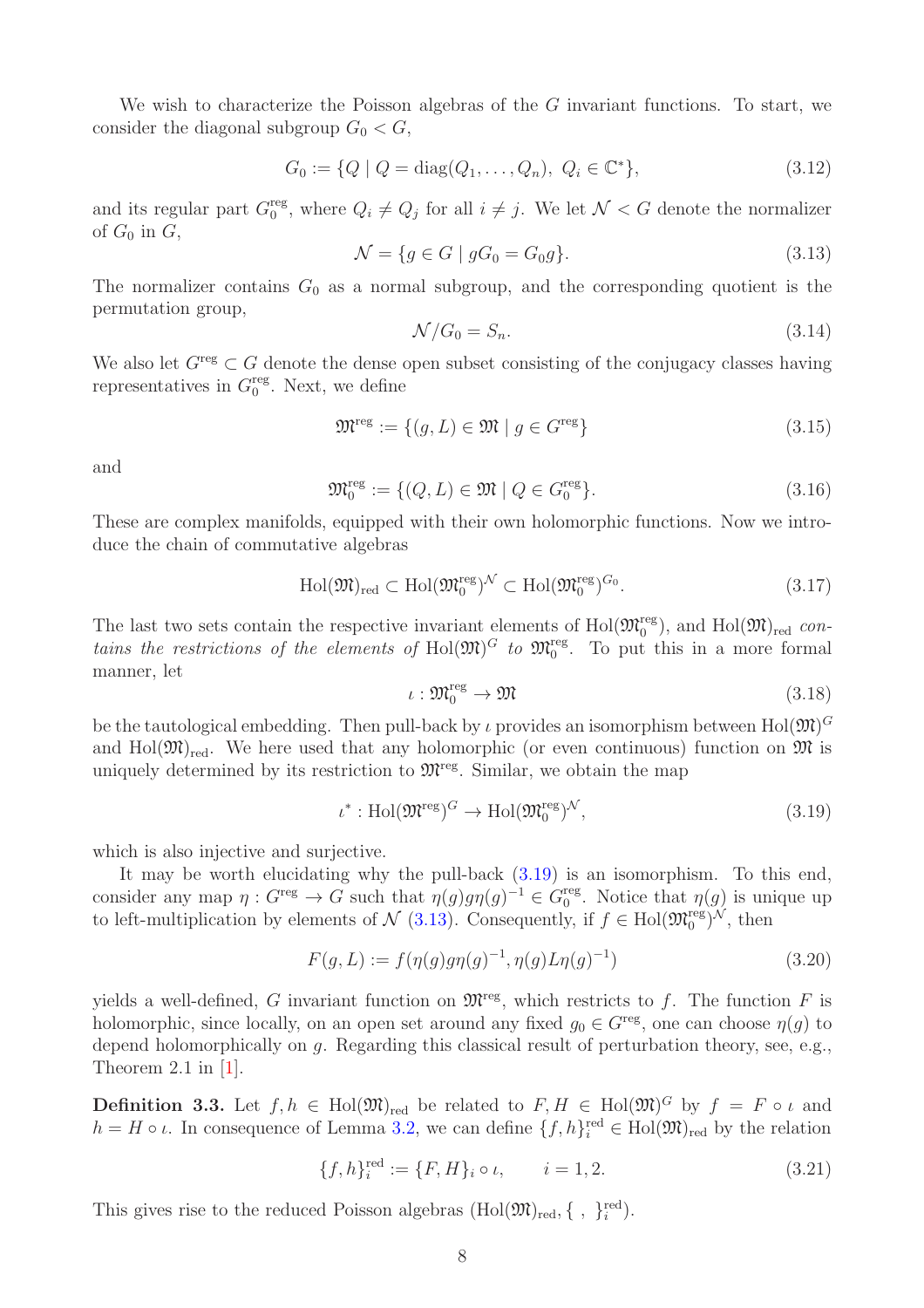We wish to characterize the Poisson algebras of the  $G$  invariant functions. To start, we consider the diagonal subgroup  $G_0 < G$ ,

$$
G_0 := \{ Q \mid Q = \text{diag}(Q_1, \dots, Q_n), \ Q_i \in \mathbb{C}^* \},\tag{3.12}
$$

and its regular part  $G_0^{\text{reg}}$ <sup>reg</sup>, where  $Q_i \neq Q_j$  for all  $i \neq j$ . We let  $\mathcal{N} < G$  denote the normalizer of  $G_0$  in  $G$ ,

<span id="page-7-1"></span>
$$
\mathcal{N} = \{ g \in G \mid gG_0 = G_0 g \}. \tag{3.13}
$$

The normalizer contains  $G_0$  as a normal subgroup, and the corresponding quotient is the permutation group,

<span id="page-7-4"></span>
$$
\mathcal{N}/G_0 = S_n. \tag{3.14}
$$

We also let  $G<sup>reg</sup> \subset G$  denote the dense open subset consisting of the conjugacy classes having representatives in  $G_0^{\text{reg}}$  $_0^{\text{reg}}$ . Next, we define

$$
\mathfrak{M}^{\text{reg}} := \{ (g, L) \in \mathfrak{M} \mid g \in G^{\text{reg}} \}
$$
\n
$$
(3.15)
$$

and

$$
\mathfrak{M}_0^{\text{reg}} := \{ (Q, L) \in \mathfrak{M} \mid Q \in G_0^{\text{reg}} \}. \tag{3.16}
$$

These are complex manifolds, equipped with their own holomorphic functions. Now we introduce the chain of commutative algebras

<span id="page-7-5"></span>
$$
\text{Hol}(\mathfrak{M})_{\text{red}} \subset \text{Hol}(\mathfrak{M}_0^{\text{reg}})^\mathcal{N} \subset \text{Hol}(\mathfrak{M}_0^{\text{reg}})^{G_0}.\tag{3.17}
$$

The last two sets contain the respective invariant elements of  $Hol(\mathfrak{M}_0^{\text{reg}})$ , and  $Hol(\mathfrak{M})_{\text{red}}$  contains the restrictions of the elements of  $Hol(\mathfrak{M})^G$  to  $\mathfrak{M}_0^{\text{reg}}$ . To put this in a more formal manner, let

$$
\iota: \mathfrak{M}_0^{\text{reg}} \to \mathfrak{M} \tag{3.18}
$$

be the tautological embedding. Then pull-back by  $\iota$  provides an isomorphism between  $\text{Hol}(\mathfrak{M})^G$ and  $Hol(\mathfrak{M})_{red}$ . We here used that any holomorphic (or even continuous) function on  $\mathfrak{M}$  is uniquely determined by its restriction to  $\mathfrak{M}^{\text{reg}}$ . Similar, we obtain the map

<span id="page-7-0"></span>
$$
\iota^* : \text{Hol}(\mathfrak{M}^{\text{reg}})^G \to \text{Hol}(\mathfrak{M}^{\text{reg}}_0)^{\mathcal{N}},\tag{3.19}
$$

which is also injective and surjective.

It may be worth elucidating why the pull-back [\(3.19\)](#page-7-0) is an isomorphism. To this end, consider any map  $\eta: G^{\text{reg}} \to G$  such that  $\eta(g)g\eta(g)^{-1} \in G_0^{\text{reg}}$ <sup>reg</sup>. Notice that  $\eta(g)$  is unique up to left-multiplication by elements of  $\mathcal{N}(3.13)$  $\mathcal{N}(3.13)$ . Consequently, if  $f \in Hol(\mathfrak{M}_0^{\text{reg}})^{\mathcal{N}}$ , then

$$
F(g, L) := f(\eta(g)g\eta(g)^{-1}, \eta(g)L\eta(g)^{-1})
$$
\n(3.20)

yields a well-defined, G invariant function on  $\mathfrak{M}^{\text{reg}}$ , which restricts to f. The function F is holomorphic, since locally, on an open set around any fixed  $g_0 \in G^{\text{reg}}$ , one can choose  $\eta(g)$  to depend holomorphically on g. Regarding this classical result of perturbation theory, see, e.g., Theorem 2.1 in [\[1\]](#page-17-1).

<span id="page-7-3"></span>**Definition 3.3.** Let  $f, h \in Hol(\mathfrak{M})_{red}$  be related to  $F, H \in Hol(\mathfrak{M})^G$  by  $f = F \circ \iota$  and  $h = H \circ \iota$ . In consequence of Lemma [3.2,](#page-6-6) we can define  $\{f, h\}^{\text{red}}_i \in Hol(\mathfrak{M})_{\text{red}}$  by the relation

<span id="page-7-2"></span>
$$
\{f, h\}^{\text{red}}_i := \{F, H\}_i \circ \iota, \qquad i = 1, 2. \tag{3.21}
$$

This gives rise to the reduced Poisson algebras  $(\text{Hol}(\mathfrak{M})_{\text{red}}, \{ , \}^{\text{red}}_{i}).$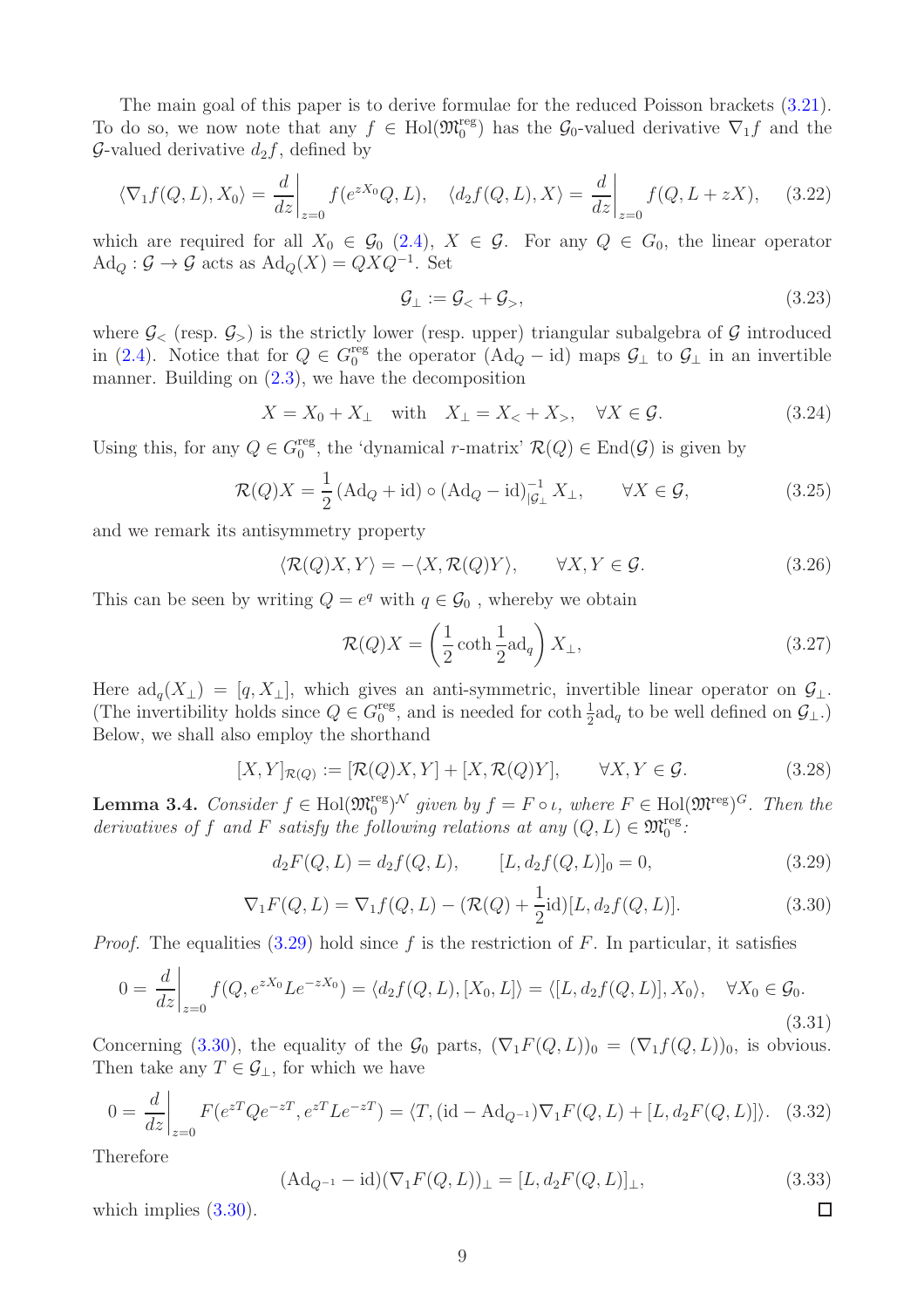The main goal of this paper is to derive formulae for the reduced Poisson brackets [\(3.21\)](#page-7-2). To do so, we now note that any  $f \in Hol(\mathfrak{M}_0^{\text{reg}})$  has the  $\mathcal{G}_0$ -valued derivative  $\nabla_1 f$  and the G-valued derivative  $d_2f$ , defined by

$$
\langle \nabla_1 f(Q, L), X_0 \rangle = \frac{d}{dz} \bigg|_{z=0} f(e^{zX_0} Q, L), \quad \langle d_2 f(Q, L), X \rangle = \frac{d}{dz} \bigg|_{z=0} f(Q, L + zX), \quad (3.22)
$$

which are required for all  $X_0 \in \mathcal{G}_0$  [\(2.4\)](#page-2-3),  $X \in \mathcal{G}$ . For any  $Q \in G_0$ , the linear operator  $\text{Ad}_Q : \mathcal{G} \to \mathcal{G}$  acts as  $\text{Ad}_Q(X) = QXQ^{-1}$ . Set

$$
\mathcal{G}_{\perp} := \mathcal{G}_{<} + \mathcal{G}_{>} ,\tag{3.23}
$$

where  $\mathcal{G}_{\leq}$  (resp.  $\mathcal{G}_{\geq}$ ) is the strictly lower (resp. upper) triangular subalgebra of  $\mathcal{G}$  introduced in [\(2.4\)](#page-2-3). Notice that for  $Q \in G_0^{\text{reg}}$ <sup>reg</sup> the operator (Ad<sub>Q</sub> – id) maps  $\mathcal{G}_\perp$  to  $\mathcal{G}_\perp$  in an invertible manner. Building on  $(2.3)$ , we have the decomposition

$$
X = X_0 + X_{\perp} \quad \text{with} \quad X_{\perp} = X_{\lt} + X_{\gt}, \quad \forall X \in \mathcal{G}.\tag{3.24}
$$

Using this, for any  $Q \in G_0^{\text{reg}}$ <sup>reg</sup>, the 'dynamical r-matrix'  $\mathcal{R}(Q) \in \text{End}(\mathcal{G})$  is given by

$$
\mathcal{R}(Q)X = \frac{1}{2} \left( \text{Ad}_Q + \text{id} \right) \circ \left( \text{Ad}_Q - \text{id} \right)_{|\mathcal{G}_\perp}^{-1} X_\perp, \qquad \forall X \in \mathcal{G}, \tag{3.25}
$$

and we remark its antisymmetry property

<span id="page-8-2"></span>
$$
\langle \mathcal{R}(Q)X, Y \rangle = -\langle X, \mathcal{R}(Q)Y \rangle, \qquad \forall X, Y \in \mathcal{G}.
$$
 (3.26)

This can be seen by writing  $Q = e^q$  with  $q \in \mathcal{G}_0$ , whereby we obtain

<span id="page-8-3"></span>
$$
\mathcal{R}(Q)X = \left(\frac{1}{2}\coth\frac{1}{2}\text{ad}_q\right)X_{\perp},\tag{3.27}
$$

Here  $\text{ad}_q(X_{\perp}) = [q, X_{\perp}],$  which gives an anti-symmetric, invertible linear operator on  $\mathcal{G}_{\perp}$ . (The invertibility holds since  $Q \in G_0^{\text{reg}}$ <sup>reg</sup>, and is needed for  $\coth \frac{1}{2}ad_q$  to be well defined on  $\mathcal{G}_{\perp}$ .) Below, we shall also employ the shorthand

<span id="page-8-4"></span>
$$
[X,Y]_{\mathcal{R}(Q)} := [\mathcal{R}(Q)X,Y] + [X,\mathcal{R}(Q)Y], \qquad \forall X,Y \in \mathcal{G}.
$$
 (3.28)

**Lemma 3.4.** Consider  $f \in Hol(\mathfrak{M}_{0}^{reg})^{\mathcal{N}}$  given by  $f = F \circ \iota$ , where  $F \in Hol(\mathfrak{M}^{reg})^G$ . Then the derivatives of f and F satisfy the following relations at any  $(Q, L) \in \mathfrak{M}_{0}^{\text{reg}}$ :

<span id="page-8-0"></span>
$$
d_2F(Q, L) = d_2f(Q, L), \qquad [L, d_2f(Q, L)]_0 = 0,
$$
\n(3.29)

<span id="page-8-1"></span>
$$
\nabla_1 F(Q, L) = \nabla_1 f(Q, L) - (\mathcal{R}(Q) + \frac{1}{2} \text{id})[L, d_2 f(Q, L)].
$$
\n(3.30)

*Proof.* The equalities  $(3.29)$  hold since f is the restriction of F. In particular, it satisfies

$$
0 = \frac{d}{dz}\Big|_{z=0} f(Q, e^{zX_0}Le^{-zX_0}) = \langle d_2 f(Q, L), [X_0, L] \rangle = \langle [L, d_2 f(Q, L)], X_0 \rangle, \quad \forall X_0 \in \mathcal{G}_0.
$$
\n(3.31)

Concerning [\(3.30\)](#page-8-1), the equality of the  $\mathcal{G}_0$  parts,  $(\nabla_1 F(Q, L))_0 = (\nabla_1 f(Q, L))_0$ , is obvious. Then take any  $T \in \mathcal{G}_\perp$ , for which we have

$$
0 = \frac{d}{dz}\bigg|_{z=0} F(e^{zT}Qe^{-zT}, e^{zT}Le^{-zT}) = \langle T, (\text{id} - \text{Ad}_{Q^{-1}})\nabla_1 F(Q, L) + [L, d_2F(Q, L)]\rangle. \tag{3.32}
$$

Therefore

$$
(\text{Ad}_{Q^{-1}} - \text{id})(\nabla_1 F(Q, L))_{\perp} = [L, d_2 F(Q, L)]_{\perp},
$$
\n(3.33)

which implies  $(3.30)$ .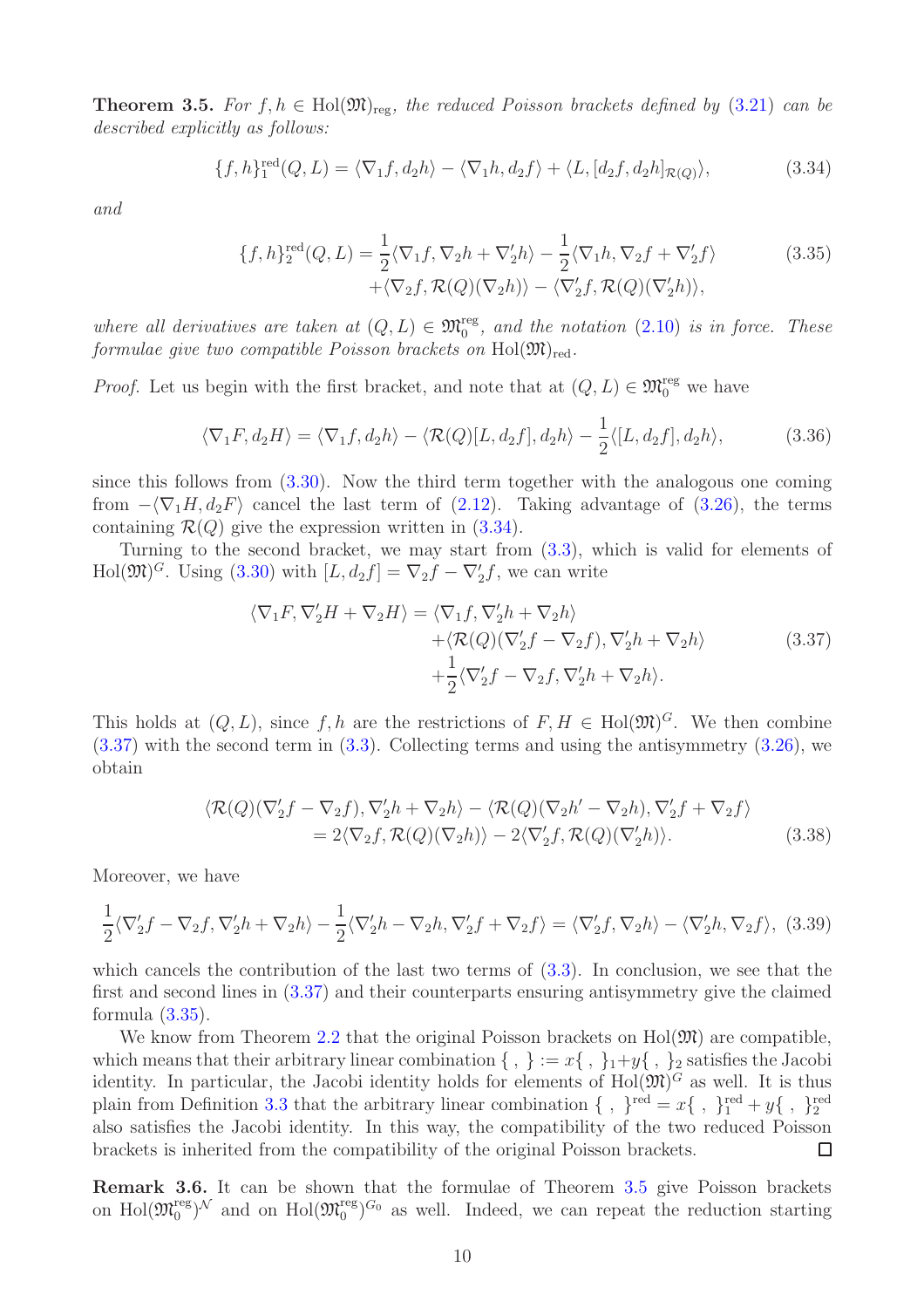<span id="page-9-0"></span>**Theorem 3.5.** For  $f, h \in Hol(\mathfrak{M})_{reg}$ , the reduced Poisson brackets defined by [\(3.21\)](#page-7-2) can be described explicitly as follows:

<span id="page-9-1"></span>
$$
\{f, h\}^{\text{red}}_1(Q, L) = \langle \nabla_1 f, d_2 h \rangle - \langle \nabla_1 h, d_2 f \rangle + \langle L, [d_2 f, d_2 h]_{\mathcal{R}(Q)} \rangle, \tag{3.34}
$$

and

<span id="page-9-2"></span>
$$
\{f, h\}^{\text{red}}_2(Q, L) = \frac{1}{2} \langle \nabla_1 f, \nabla_2 h + \nabla_2' h \rangle - \frac{1}{2} \langle \nabla_1 h, \nabla_2 f + \nabla_2' f \rangle
$$
\n
$$
+ \langle \nabla_2 f, \mathcal{R}(Q)(\nabla_2 h) \rangle - \langle \nabla_2' f, \mathcal{R}(Q)(\nabla_2' h) \rangle,
$$
\n(3.35)

where all derivatives are taken at  $(Q, L) \in \mathfrak{M}_0^{\text{reg}}$ , and the notation  $(2.10)$  is in force. These formulae qive two compatible Poisson brackets on  $Hol(\mathfrak{M})_{red}$ .

*Proof.* Let us begin with the first bracket, and note that at  $(Q, L) \in \mathfrak{M}^{\text{reg}}_0$  we have

$$
\langle \nabla_1 F, d_2 H \rangle = \langle \nabla_1 f, d_2 h \rangle - \langle \mathcal{R}(Q)[L, d_2 f], d_2 h \rangle - \frac{1}{2} \langle [L, d_2 f], d_2 h \rangle, \tag{3.36}
$$

since this follows from [\(3.30\)](#page-8-1). Now the third term together with the analogous one coming from  $-\langle \nabla_1 H, d_2 F \rangle$  cancel the last term of [\(2.12\)](#page-3-4). Taking advantage of [\(3.26\)](#page-8-2), the terms containing  $\mathcal{R}(Q)$  give the expression written in [\(3.34\)](#page-9-1).

Turning to the second bracket, we may start from [\(3.3\)](#page-6-4), which is valid for elements of Hol $(\mathfrak{M})^G$ . Using [\(3.30\)](#page-8-1) with  $[L, d_2f] = \nabla_2 f - \nabla_2' f$ , we can write

<span id="page-9-3"></span>
$$
\langle \nabla_1 F, \nabla_2' H + \nabla_2 H \rangle = \langle \nabla_1 f, \nabla_2' h + \nabla_2 h \rangle + \langle \mathcal{R}(Q)(\nabla_2' f - \nabla_2 f), \nabla_2' h + \nabla_2 h \rangle + \frac{1}{2} \langle \nabla_2' f - \nabla_2 f, \nabla_2' h + \nabla_2 h \rangle.
$$
 (3.37)

This holds at  $(Q, L)$ , since f, h are the restrictions of  $F, H \in Hol(\mathfrak{M})^G$ . We then combine [\(3.37\)](#page-9-3) with the second term in [\(3.3\)](#page-6-4). Collecting terms and using the antisymmetry [\(3.26\)](#page-8-2), we obtain

$$
\langle \mathcal{R}(Q)(\nabla_2' f - \nabla_2 f), \nabla_2' h + \nabla_2 h \rangle - \langle \mathcal{R}(Q)(\nabla_2 h' - \nabla_2 h), \nabla_2' f + \nabla_2 f \rangle
$$
  
= 2\langle \nabla\_2 f, \mathcal{R}(Q)(\nabla\_2 h) \rangle - 2\langle \nabla\_2' f, \mathcal{R}(Q)(\nabla\_2' h) \rangle. (3.38)

Moreover, we have

$$
\frac{1}{2}\langle \nabla_2' f - \nabla_2 f, \nabla_2' h + \nabla_2 h \rangle - \frac{1}{2}\langle \nabla_2' h - \nabla_2 h, \nabla_2' f + \nabla_2 f \rangle = \langle \nabla_2' f, \nabla_2 h \rangle - \langle \nabla_2' h, \nabla_2 f \rangle, \tag{3.39}
$$

which cancels the contribution of the last two terms of [\(3.3\)](#page-6-4). In conclusion, we see that the first and second lines in [\(3.37\)](#page-9-3) and their counterparts ensuring antisymmetry give the claimed formula  $(3.35)$ .

We know from Theorem [2.2](#page-4-0) that the original Poisson brackets on  $Hol(\mathfrak{M})$  are compatible, which means that their arbitrary linear combination  $\{ , \} := x \{ , \} _1+y \{ , \} _2$  satisfies the Jacobi identity. In particular, the Jacobi identity holds for elements of  $Hol(\mathfrak{M})^G$  as well. It is thus plain from Definition [3.3](#page-7-3) that the arbitrary linear combination  $\{\ ,\ \}^{\text{red}} = x\{\ ,\ \}^{\text{red}}_1 + y\{\ ,\ \}^{\text{red}}_2$ also satisfies the Jacobi identity. In this way, the compatibility of the two reduced Poisson brackets is inherited from the compatibility of the original Poisson brackets.  $\Box$ 

Remark 3.6. It can be shown that the formulae of Theorem [3.5](#page-9-0) give Poisson brackets on Hol $(\mathfrak{M}_0^{\text{reg}})^{\mathcal{N}}$  and on Hol $(\mathfrak{M}_0^{\text{reg}})^{G_0}$  as well. Indeed, we can repeat the reduction starting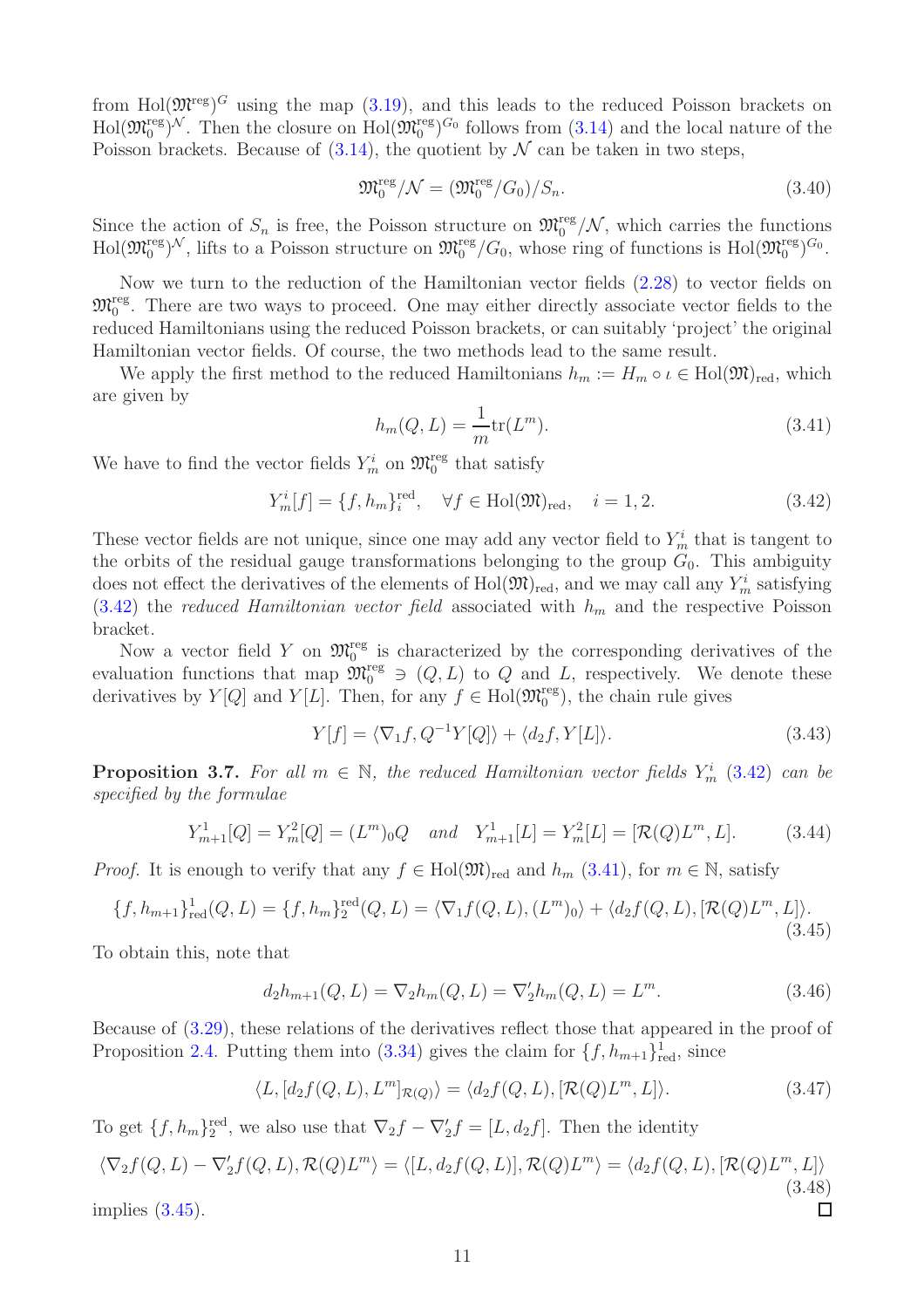from Hol $(\mathfrak{M}^{\text{reg}})^G$  using the map  $(3.19)$ , and this leads to the reduced Poisson brackets on  $\text{Hol}(\mathfrak{M}_0^{\text{reg}})^\mathcal{N}$ . Then the closure on  $\text{Hol}(\mathfrak{M}_0^{\text{reg}})^{G_0}$  follows from  $(3.14)$  and the local nature of the Poisson brackets. Because of  $(3.14)$ , the quotient by  $\mathcal N$  can be taken in two steps,

$$
\mathfrak{M}_0^{\text{reg}}/\mathcal{N} = (\mathfrak{M}_0^{\text{reg}}/G_0)/S_n. \tag{3.40}
$$

Since the action of  $S_n$  is free, the Poisson structure on  $\mathfrak{M}_0^{\text{reg}}/\mathcal{N}$ , which carries the functions  $\text{Hol}(\mathfrak{M}_0^{\text{reg}})^\mathcal{N}$ , lifts to a Poisson structure on  $\mathfrak{M}_0^{\text{reg}}/G_0$ , whose ring of functions is  $\text{Hol}(\mathfrak{M}_0^{\text{reg}})^{G_0}$ .

Now we turn to the reduction of the Hamiltonian vector fields [\(2.28\)](#page-5-1) to vector fields on  $\mathfrak{M}_0^{\text{reg}}$ . There are two ways to proceed. One may either directly associate vector fields to the reduced Hamiltonians using the reduced Poisson brackets, or can suitably 'project' the original Hamiltonian vector fields. Of course, the two methods lead to the same result.

We apply the first method to the reduced Hamiltonians  $h_m := H_m \circ \iota \in Hol(\mathfrak{M})_{\text{red}}$ , which are given by

<span id="page-10-2"></span>
$$
h_m(Q, L) = \frac{1}{m} \text{tr}(L^m).
$$
\n(3.41)

We have to find the vector fields  $Y_m^i$  on  $\mathfrak{M}_0^{\text{reg}}$  that satisfy

<span id="page-10-1"></span>
$$
Y_m^i[f] = \{f, h_m\}_i^{\text{red}}, \quad \forall f \in \text{Hol}(\mathfrak{M})_{\text{red}}, \quad i = 1, 2. \tag{3.42}
$$

These vector fields are not unique, since one may add any vector field to  $Y_m^i$  that is tangent to the orbits of the residual gauge transformations belonging to the group  $G_0$ . This ambiguity does not effect the derivatives of the elements of  $Hol(\mathfrak{M})_{\rm red}$ , and we may call any  $Y_m^i$  satisfying  $(3.42)$  the reduced Hamiltonian vector field associated with  $h_m$  and the respective Poisson bracket.

Now a vector field Y on  $\mathfrak{M}_0^{\text{reg}}$  is characterized by the corresponding derivatives of the evaluation functions that map  $\mathfrak{M}_0^{\text{reg}} \ni (Q, L)$  to Q and L, respectively. We denote these derivatives by  $Y[Q]$  and  $Y[L]$ . Then, for any  $f \in Hol(\mathfrak{M}_0^{\text{reg}})$ , the chain rule gives

$$
Y[f] = \langle \nabla_1 f, Q^{-1} Y[Q] \rangle + \langle d_2 f, Y[L] \rangle.
$$
\n(3.43)

<span id="page-10-0"></span>**Proposition 3.7.** For all  $m \in \mathbb{N}$ , the reduced Hamiltonian vector fields  $Y_m^i$  [\(3.42\)](#page-10-1) can be specified by the formulae

$$
Y_{m+1}^1[Q] = Y_m^2[Q] = (L^m)_0 Q \quad and \quad Y_{m+1}^1[L] = Y_m^2[L] = [\mathcal{R}(Q)L^m, L]. \tag{3.44}
$$

*Proof.* It is enough to verify that any  $f \in Hol(\mathfrak{M})_{red}$  and  $h_m$  [\(3.41\)](#page-10-2), for  $m \in \mathbb{N}$ , satisfy

<span id="page-10-3"></span>
$$
\{f, h_{m+1}\}_{\text{red}}^1(Q, L) = \{f, h_m\}_{2}^{\text{red}}(Q, L) = \langle \nabla_1 f(Q, L), (L^m)_0 \rangle + \langle d_2 f(Q, L), [\mathcal{R}(Q)L^m, L] \rangle.
$$
\n(3.45)

To obtain this, note that

$$
d_2h_{m+1}(Q, L) = \nabla_2 h_m(Q, L) = \nabla_2 h_m(Q, L) = L^m.
$$
\n(3.46)

Because of [\(3.29\)](#page-8-0), these relations of the derivatives reflect those that appeared in the proof of Proposition [2.4.](#page-5-0) Putting them into [\(3.34\)](#page-9-1) gives the claim for  $\{f, h_{m+1}\}_{\text{red}}^1$ , since

$$
\langle L, [d_2 f(Q, L), L^m]_{\mathcal{R}(Q)} \rangle = \langle d_2 f(Q, L), [\mathcal{R}(Q) L^m, L] \rangle.
$$
 (3.47)

To get  $\{f, h_m\}_2^{\text{red}}$ , we also use that  $\nabla_2 f - \nabla_2' f = [L, d_2 f]$ . Then the identity

$$
\langle \nabla_2 f(Q, L) - \nabla_2' f(Q, L), \mathcal{R}(Q) L^m \rangle = \langle [L, d_2 f(Q, L)], \mathcal{R}(Q) L^m \rangle = \langle d_2 f(Q, L), [\mathcal{R}(Q) L^m, L] \rangle
$$
\n(3.48)

\n(3.45).

implies [\(3.45\)](#page-10-3).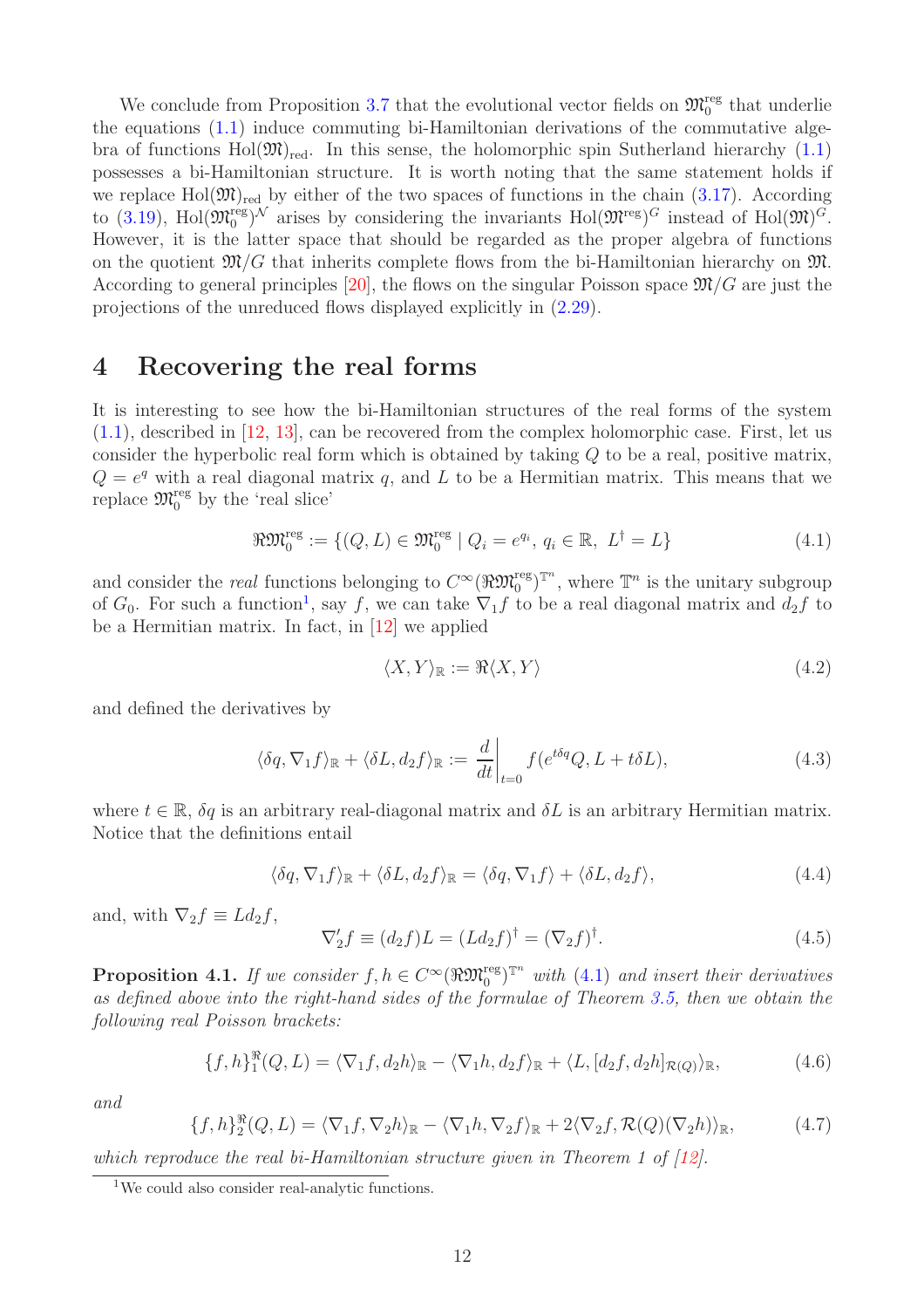We conclude from Proposition [3.7](#page-10-0) that the evolutional vector fields on  $\mathfrak{M}^{\text{reg}}_0$  that underlie the equations [\(1.1\)](#page-1-1) induce commuting bi-Hamiltonian derivations of the commutative algebra of functions  $Hol(\mathfrak{M})_{\text{red}}$ . In this sense, the holomorphic spin Sutherland hierarchy [\(1.1\)](#page-1-1) possesses a bi-Hamiltonian structure. It is worth noting that the same statement holds if we replace  $Hol(\mathfrak{M})_{\text{red}}$  by either of the two spaces of functions in the chain [\(3.17\)](#page-7-5). According to [\(3.19\)](#page-7-0), Hol $(\mathfrak{M}^{\text{reg}}_0)$ <sup>N</sup> arises by considering the invariants Hol $(\mathfrak{M}^{\text{reg}})^G$  instead of Hol $(\mathfrak{M})^G$ . However, it is the latter space that should be regarded as the proper algebra of functions on the quotient  $\mathfrak{M}/G$  that inherits complete flows from the bi-Hamiltonian hierarchy on  $\mathfrak{M}$ . According to general principles [\[20\]](#page-19-5), the flows on the singular Poisson space  $\mathfrak{M}/G$  are just the projections of the unreduced flows displayed explicitly in [\(2.29\)](#page-5-2).

#### <span id="page-11-0"></span>4 Recovering the real forms

It is interesting to see how the bi-Hamiltonian structures of the real forms of the system [\(1.1\)](#page-1-1), described in [\[12,](#page-18-6) [13\]](#page-18-7), can be recovered from the complex holomorphic case. First, let us consider the hyperbolic real form which is obtained by taking  $Q$  to be a real, positive matrix,  $Q = e^q$  with a real diagonal matrix q, and L to be a Hermitian matrix. This means that we replace  $\mathfrak{M}^{\text{reg}}_0$  by the 'real slice'

<span id="page-11-2"></span>
$$
\mathbb{R}\mathfrak{M}_0^{\text{reg}} := \{ (Q, L) \in \mathfrak{M}_0^{\text{reg}} \mid Q_i = e^{q_i}, q_i \in \mathbb{R}, L^{\dagger} = L \}
$$
\n
$$
(4.1)
$$

and consider the *real* functions belonging to  $C^{\infty}(\Re \mathfrak{M}_0^{\text{reg}})^{\mathbb{T}^n}$ , where  $\mathbb{T}^n$  is the unitary subgroup of  $G_0$ . For such a function<sup>[1](#page-11-1)</sup>, say f, we can take  $\nabla_1 f$  to be a real diagonal matrix and  $d_2 f$  to be a Hermitian matrix. In fact, in [\[12\]](#page-18-6) we applied

$$
\langle X, Y \rangle_{\mathbb{R}} := \Re \langle X, Y \rangle \tag{4.2}
$$

and defined the derivatives by

<span id="page-11-6"></span>
$$
\langle \delta q, \nabla_1 f \rangle_{\mathbb{R}} + \langle \delta L, d_2 f \rangle_{\mathbb{R}} := \frac{d}{dt} \bigg|_{t=0} f(e^{t \delta q} Q, L + t \delta L), \tag{4.3}
$$

where  $t \in \mathbb{R}$ ,  $\delta q$  is an arbitrary real-diagonal matrix and  $\delta L$  is an arbitrary Hermitian matrix. Notice that the definitions entail

$$
\langle \delta q, \nabla_1 f \rangle_{\mathbb{R}} + \langle \delta L, d_2 f \rangle_{\mathbb{R}} = \langle \delta q, \nabla_1 f \rangle + \langle \delta L, d_2 f \rangle, \tag{4.4}
$$

and, with  $\nabla_2 f \equiv L d_2 f$ ,

<span id="page-11-4"></span>
$$
\nabla_2' f \equiv (d_2 f) L = (L d_2 f)^\dagger = (\nabla_2 f)^\dagger. \tag{4.5}
$$

<span id="page-11-7"></span>**Proposition 4.1.** If we consider  $f, h \in C^{\infty}(\Re \mathfrak{M}_{0}^{\text{reg}})^{\mathbb{T}^{n}}$  with [\(4.1\)](#page-11-2) and insert their derivatives as defined above into the right-hand sides of the formulae of Theorem [3.5,](#page-9-0) then we obtain the following real Poisson brackets:

<span id="page-11-3"></span>
$$
\{f,h\}_{1}^{\Re}(Q,L) = \langle \nabla_1 f,d_2 h \rangle_{\Re} - \langle \nabla_1 h,d_2 f \rangle_{\Re} + \langle L,[d_2 f,d_2 h]_{\mathcal{R}(Q)} \rangle_{\Re},\tag{4.6}
$$

and

<span id="page-11-5"></span>
$$
\{f,h\}_{2}^{\Re}(Q,L) = \langle \nabla_1 f, \nabla_2 h \rangle_{\Re} - \langle \nabla_1 h, \nabla_2 f \rangle_{\Re} + 2 \langle \nabla_2 f, \mathcal{R}(Q)(\nabla_2 h) \rangle_{\Re},\tag{4.7}
$$

which reproduce the real bi-Hamiltonian structure given in Theorem 1 of [\[12\]](#page-18-6).

<span id="page-11-1"></span><sup>&</sup>lt;sup>1</sup>We could also consider real-analytic functions.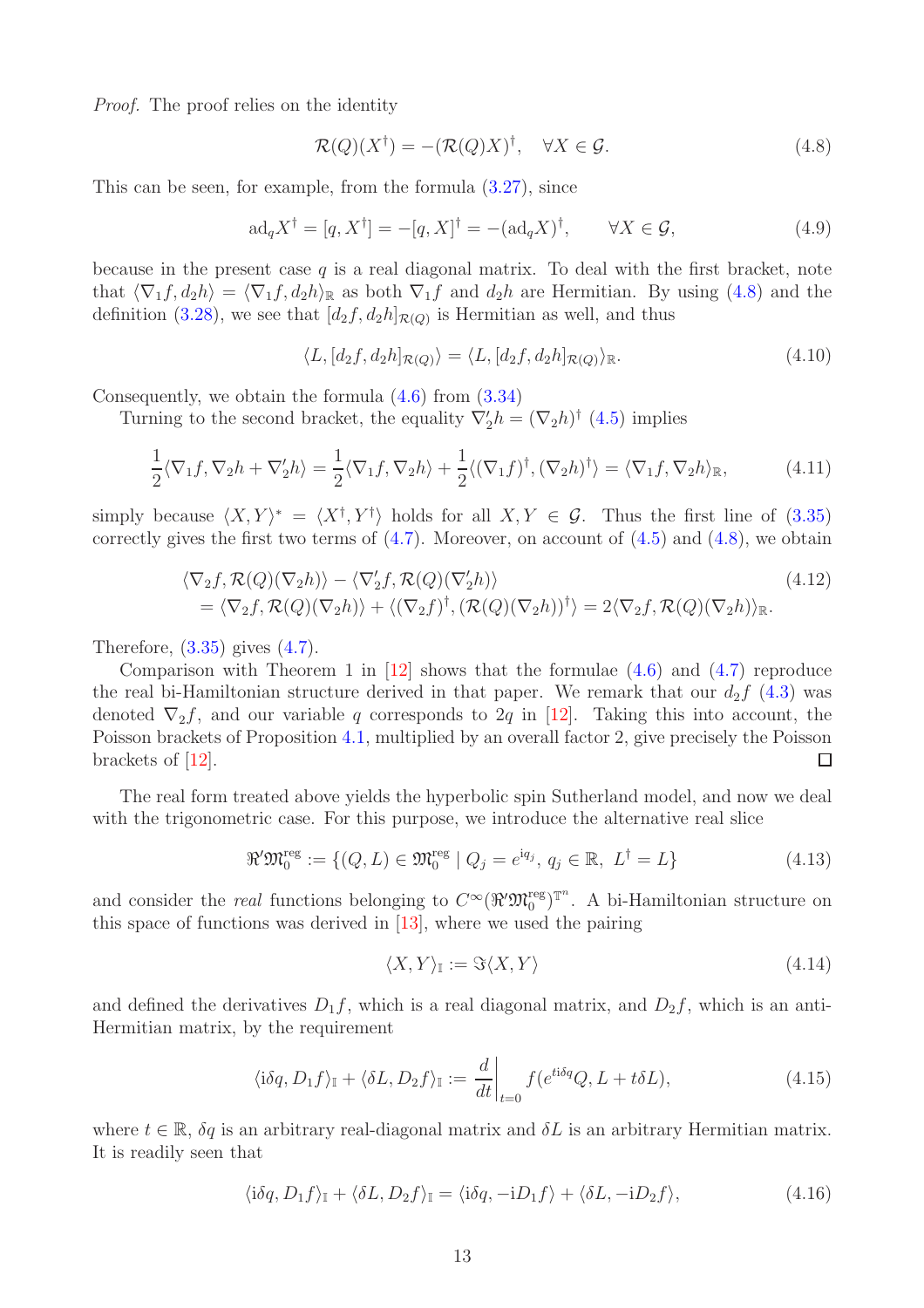Proof. The proof relies on the identity

<span id="page-12-0"></span>
$$
\mathcal{R}(Q)(X^{\dagger}) = -(\mathcal{R}(Q)X)^{\dagger}, \quad \forall X \in \mathcal{G}.
$$
 (4.8)

This can be seen, for example, from the formula  $(3.27)$ , since

<span id="page-12-1"></span>
$$
ad_q X^{\dagger} = [q, X^{\dagger}] = -[q, X]^{\dagger} = -(ad_q X)^{\dagger}, \qquad \forall X \in \mathcal{G}, \tag{4.9}
$$

because in the present case  $q$  is a real diagonal matrix. To deal with the first bracket, note that  $\langle \nabla_1 f, d_2 h \rangle = \langle \nabla_1 f, d_2 h \rangle_{\mathbb{R}}$  as both  $\nabla_1 f$  and  $d_2 h$  are Hermitian. By using [\(4.8\)](#page-12-0) and the definition [\(3.28\)](#page-8-4), we see that  $[d_2f, d_2h]_{\mathcal{R}(Q)}$  is Hermitian as well, and thus

$$
\langle L, [d_2f, d_2h]_{\mathcal{R}(Q)} \rangle = \langle L, [d_2f, d_2h]_{\mathcal{R}(Q)} \rangle_{\mathbb{R}}.
$$
\n(4.10)

Consequently, we obtain the formula [\(4.6\)](#page-11-3) from [\(3.34\)](#page-9-1)

Turning to the second bracket, the equality  $\nabla'_2 h = (\nabla_2 h)^{\dagger}$  [\(4.5\)](#page-11-4) implies

$$
\frac{1}{2}\langle \nabla_1 f, \nabla_2 h + \nabla_2 h \rangle = \frac{1}{2}\langle \nabla_1 f, \nabla_2 h \rangle + \frac{1}{2}\langle (\nabla_1 f)^{\dagger}, (\nabla_2 h)^{\dagger} \rangle = \langle \nabla_1 f, \nabla_2 h \rangle_{\mathbb{R}},\tag{4.11}
$$

simply because  $\langle X, Y \rangle^* = \langle X^{\dagger}, Y^{\dagger} \rangle$  holds for all  $X, Y \in \mathcal{G}$ . Thus the first line of [\(3.35\)](#page-9-2) correctly gives the first two terms of  $(4.7)$ . Moreover, on account of  $(4.5)$  and  $(4.8)$ , we obtain

$$
\langle \nabla_2 f, \mathcal{R}(Q)(\nabla_2 h) \rangle - \langle \nabla'_2 f, \mathcal{R}(Q)(\nabla'_2 h) \rangle
$$
\n
$$
= \langle \nabla_2 f, \mathcal{R}(Q)(\nabla_2 h) \rangle + \langle (\nabla_2 f)^{\dagger}, (\mathcal{R}(Q)(\nabla_2 h))^{\dagger} \rangle = 2 \langle \nabla_2 f, \mathcal{R}(Q)(\nabla_2 h) \rangle_{\mathbb{R}}.
$$
\n(4.12)

Therefore,  $(3.35)$  gives  $(4.7)$ .

Comparison with Theorem 1 in  $[12]$  shows that the formulae  $(4.6)$  and  $(4.7)$  reproduce the real bi-Hamiltonian structure derived in that paper. We remark that our  $d_2f(4.3)$  $d_2f(4.3)$  was denoted  $\nabla_2 f$ , and our variable q corresponds to 2q in [\[12\]](#page-18-6). Taking this into account, the Poisson brackets of Proposition [4.1,](#page-11-7) multiplied by an overall factor 2, give precisely the Poisson brackets of [\[12\]](#page-18-6).  $\Box$ 

The real form treated above yields the hyperbolic spin Sutherland model, and now we deal with the trigonometric case. For this purpose, we introduce the alternative real slice

<span id="page-12-2"></span>
$$
\mathcal{R}'\mathfrak{M}_0^{\text{reg}} := \{ (Q, L) \in \mathfrak{M}_0^{\text{reg}} \mid Q_j = e^{\mathrm{i}q_j}, q_j \in \mathbb{R}, L^{\dagger} = L \}
$$
(4.13)

and consider the *real* functions belonging to  $C^{\infty}(\mathcal{H}^{\prime}\mathfrak{M}_{0}^{\text{reg}})^{\mathbb{T}^{n}}$ . A bi-Hamiltonian structure on this space of functions was derived in  $[13]$ , where we used the pairing

$$
\langle X, Y \rangle_{\mathbb{I}} := \Im \langle X, Y \rangle \tag{4.14}
$$

and defined the derivatives  $D_1 f$ , which is a real diagonal matrix, and  $D_2 f$ , which is an anti-Hermitian matrix, by the requirement

$$
\langle i\delta q, D_1 f \rangle_{\mathbb{I}} + \langle \delta L, D_2 f \rangle_{\mathbb{I}} := \frac{d}{dt} \bigg|_{t=0} f(e^{t i \delta q} Q, L + t \delta L), \tag{4.15}
$$

where  $t \in \mathbb{R}$ ,  $\delta q$  is an arbitrary real-diagonal matrix and  $\delta L$  is an arbitrary Hermitian matrix. It is readily seen that

$$
\langle i\delta q, D_1 f \rangle_{\mathbb{I}} + \langle \delta L, D_2 f \rangle_{\mathbb{I}} = \langle i\delta q, -iD_1 f \rangle + \langle \delta L, -iD_2 f \rangle, \tag{4.16}
$$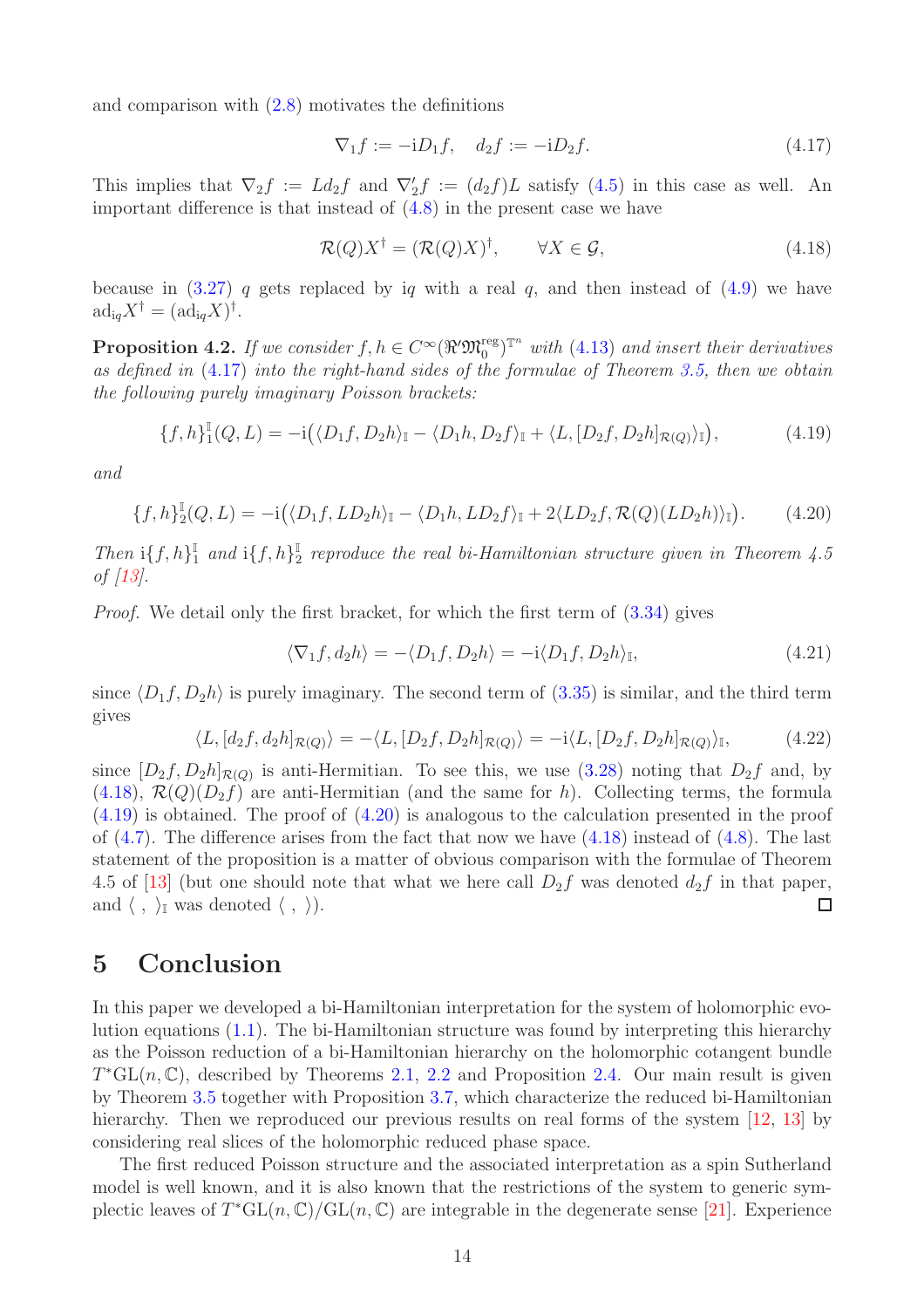and comparison with [\(2.8\)](#page-3-5) motivates the definitions

<span id="page-13-1"></span>
$$
\nabla_1 f := -iD_1 f, \quad d_2 f := -iD_2 f. \tag{4.17}
$$

This implies that  $\nabla_2 f := L d_2 f$  and  $\nabla'_2 f := (d_2 f) L$  satisfy  $(4.5)$  in this case as well. An important difference is that instead of [\(4.8\)](#page-12-0) in the present case we have

<span id="page-13-2"></span>
$$
\mathcal{R}(Q)X^{\dagger} = (\mathcal{R}(Q)X)^{\dagger}, \qquad \forall X \in \mathcal{G}, \tag{4.18}
$$

because in  $(3.27)$  q gets replaced by iq with a real q, and then instead of  $(4.9)$  we have  $\mathrm{ad}_{\mathrm{i}q}X^{\dagger}=(\mathrm{ad}_{\mathrm{i}q}X)^{\dagger}.$ 

**Proposition 4.2.** If we consider  $f, h \in C^{\infty}(\Re^{\prime}\mathfrak{M}_{0}^{\text{reg}})^{\mathbb{T}^{n}}$  with [\(4.13\)](#page-12-2) and insert their derivatives as defined in [\(4.17\)](#page-13-1) into the right-hand sides of the formulae of Theorem [3.5,](#page-9-0) then we obtain the following purely imaginary Poisson brackets:

<span id="page-13-3"></span>
$$
\{f,h\}^{\mathbb{I}}_{1}(Q,L)=-\mathrm{i}(\langle D_{1}f,D_{2}h\rangle_{\mathbb{I}}-\langle D_{1}h,D_{2}f\rangle_{\mathbb{I}}+\langle L,[D_{2}f,D_{2}h]_{\mathcal{R}(Q)}\rangle_{\mathbb{I}}),\tag{4.19}
$$

and

<span id="page-13-4"></span>
$$
\{f,h\}_{2}^{\mathbb{I}}(Q,L) = -i(\langle D_1f, LD_2h\rangle_{\mathbb{I}} - \langle D_1h, LD_2f\rangle_{\mathbb{I}} + 2\langle LD_2f, \mathcal{R}(Q)(LD_2h)\rangle_{\mathbb{I}}). \tag{4.20}
$$

Then  $\mathrm{i} \{f,h\}^{\mathbb{I}}_1$  $_{1}^{\mathbb{I}}$  and  $\mathrm{i}\lbrace f,h\rbrace_{2}^{\mathbb{I}}$  $\frac{1}{2}$  reproduce the real bi-Hamiltonian structure given in Theorem 4.5 of [\[13\]](#page-18-7).

Proof. We detail only the first bracket, for which the first term of [\(3.34\)](#page-9-1) gives

$$
\langle \nabla_1 f, d_2 h \rangle = -\langle D_1 f, D_2 h \rangle = -i \langle D_1 f, D_2 h \rangle_{\mathbb{I}}, \tag{4.21}
$$

since  $\langle D_1f, D_2h \rangle$  is purely imaginary. The second term of [\(3.35\)](#page-9-2) is similar, and the third term gives

$$
\langle L, [d_2f, d_2h]_{\mathcal{R}(Q)} \rangle = -\langle L, [D_2f, D_2h]_{\mathcal{R}(Q)} \rangle = -i \langle L, [D_2f, D_2h]_{\mathcal{R}(Q)} \rangle_{\mathbb{I}},\tag{4.22}
$$

since  $[D_2f, D_2h]_{\mathcal{R}(Q)}$  is anti-Hermitian. To see this, we use  $(3.28)$  noting that  $D_2f$  and, by  $(4.18), \mathcal{R}(Q)(D_2f)$  $(4.18), \mathcal{R}(Q)(D_2f)$  are anti-Hermitian (and the same for h). Collecting terms, the formula  $(4.19)$  is obtained. The proof of  $(4.20)$  is analogous to the calculation presented in the proof of  $(4.7)$ . The difference arises from the fact that now we have  $(4.18)$  instead of  $(4.8)$ . The last statement of the proposition is a matter of obvious comparison with the formulae of Theorem 4.5 of [\[13\]](#page-18-7) (but one should note that what we here call  $D_2f$  was denoted  $d_2f$  in that paper, and  $\langle , \rangle_{\mathbb{I}}$  was denoted  $\langle , \rangle$ ).  $\Box$ 

# <span id="page-13-0"></span>5 Conclusion

In this paper we developed a bi-Hamiltonian interpretation for the system of holomorphic evolution equations [\(1.1\)](#page-1-1). The bi-Hamiltonian structure was found by interpreting this hierarchy as the Poisson reduction of a bi-Hamiltonian hierarchy on the holomorphic cotangent bundle  $T^*\text{GL}(n,\mathbb{C})$ , described by Theorems [2.1,](#page-3-0) [2.2](#page-4-0) and Proposition [2.4.](#page-5-0) Our main result is given by Theorem [3.5](#page-9-0) together with Proposition [3.7,](#page-10-0) which characterize the reduced bi-Hamiltonian hierarchy. Then we reproduced our previous results on real forms of the system [\[12,](#page-18-6) [13\]](#page-18-7) by considering real slices of the holomorphic reduced phase space.

The first reduced Poisson structure and the associated interpretation as a spin Sutherland model is well known, and it is also known that the restrictions of the system to generic symplectic leaves of  $T^*\text{GL}(n,\mathbb{C})/\text{GL}(n,\mathbb{C})$  are integrable in the degenerate sense [\[21\]](#page-19-2). Experience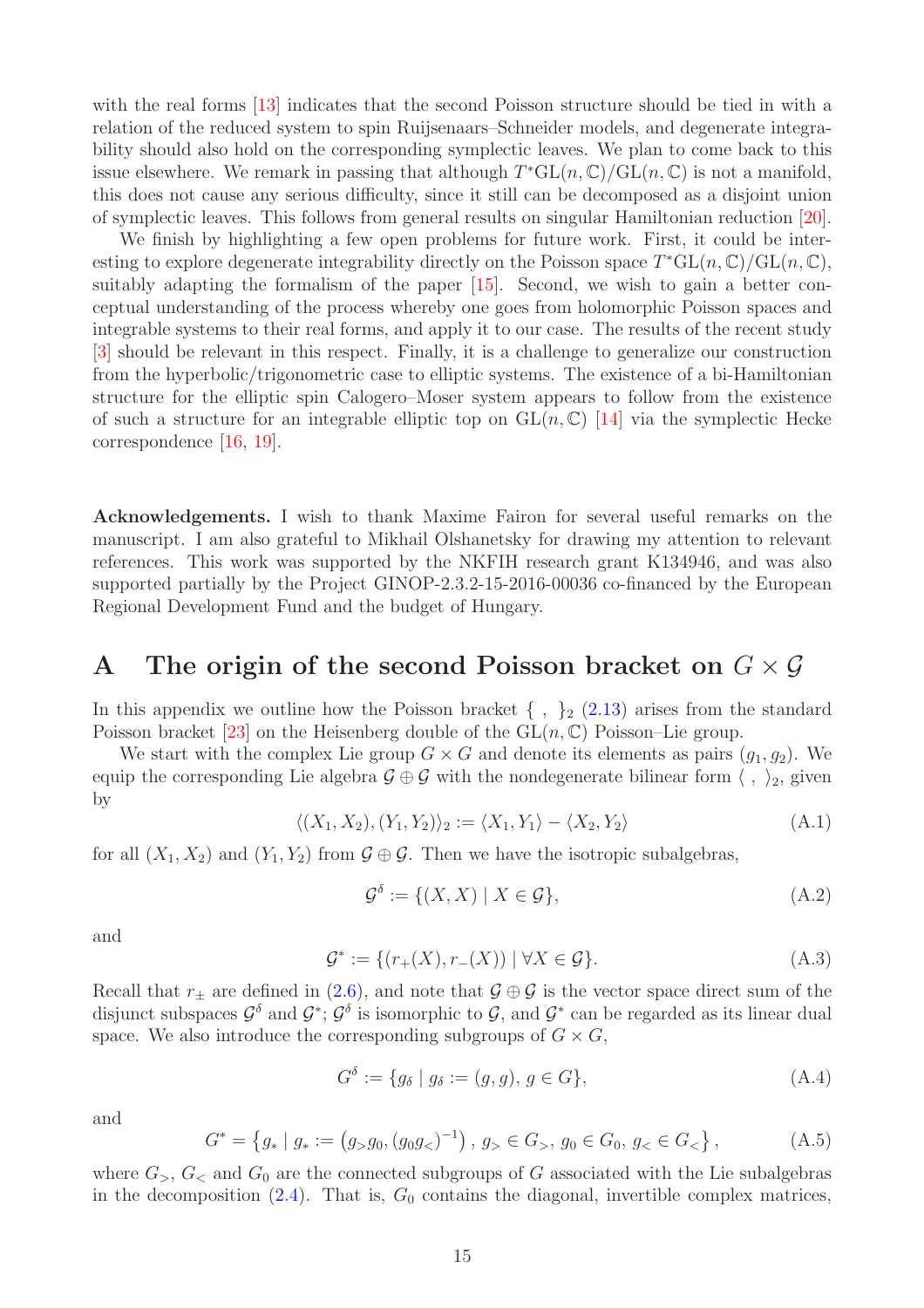with the real forms [\[13\]](#page-18-7) indicates that the second Poisson structure should be tied in with a relation of the reduced system to spin Ruijsenaars–Schneider models, and degenerate integrability should also hold on the corresponding symplectic leaves. We plan to come back to this issue elsewhere. We remark in passing that although  $T^*GL(n,\mathbb{C})/GL(n,\mathbb{C})$  is not a manifold, this does not cause any serious difficulty, since it still can be decomposed as a disjoint union of symplectic leaves. This follows from general results on singular Hamiltonian reduction [\[20\]](#page-19-5).

We finish by highlighting a few open problems for future work. First, it could be interesting to explore degenerate integrability directly on the Poisson space  $T^*\mathrm{GL}(n,\mathbb{C})/\mathrm{GL}(n,\mathbb{C}),$ suitably adapting the formalism of the paper [\[15\]](#page-18-12). Second, we wish to gain a better conceptual understanding of the process whereby one goes from holomorphic Poisson spaces and integrable systems to their real forms, and apply it to our case. The results of the recent study [\[3\]](#page-17-2) should be relevant in this respect. Finally, it is a challenge to generalize our construction from the hyperbolic/trigonometric case to elliptic systems. The existence of a bi-Hamiltonian structure for the elliptic spin Calogero–Moser system appears to follow from the existence of such a structure for an integrable elliptic top on  $GL(n,\mathbb{C})$  [\[14\]](#page-18-13) via the symplectic Hecke correspondence [\[16,](#page-18-14) [19\]](#page-18-15).

Acknowledgements. I wish to thank Maxime Fairon for several useful remarks on the manuscript. I am also grateful to Mikhail Olshanetsky for drawing my attention to relevant references. This work was supported by the NKFIH research grant K134946, and was also supported partially by the Project GINOP-2.3.2-15-2016-00036 co-financed by the European Regional Development Fund and the budget of Hungary.

### <span id="page-14-0"></span>A The origin of the second Poisson bracket on  $G \times \mathcal{G}$

In this appendix we outline how the Poisson bracket  $\{\ ,\ \}_2$  [\(2.13\)](#page-3-1) arises from the standard Poisson bracket [\[23\]](#page-19-3) on the Heisenberg double of the  $GL(n, \mathbb{C})$  Poisson–Lie group.

We start with the complex Lie group  $G \times G$  and denote its elements as pairs  $(g_1, g_2)$ . We equip the corresponding Lie algebra  $\mathcal{G} \oplus \mathcal{G}$  with the nondegenerate bilinear form  $\langle , \rangle_2$ , given by

<span id="page-14-1"></span>
$$
\langle (X_1, X_2), (Y_1, Y_2) \rangle_2 := \langle X_1, Y_1 \rangle - \langle X_2, Y_2 \rangle \tag{A.1}
$$

for all  $(X_1, X_2)$  and  $(Y_1, Y_2)$  from  $\mathcal{G} \oplus \mathcal{G}$ . Then we have the isotropic subalgebras,

<span id="page-14-4"></span>
$$
\mathcal{G}^{\delta} := \{ (X, X) \mid X \in \mathcal{G} \},\tag{A.2}
$$

and

<span id="page-14-3"></span>
$$
\mathcal{G}^* := \{ (r_+(X), r_-(X)) \mid \forall X \in \mathcal{G} \}. \tag{A.3}
$$

Recall that  $r_{\pm}$  are defined in [\(2.6\)](#page-3-6), and note that  $\mathcal{G} \oplus \mathcal{G}$  is the vector space direct sum of the disjunct subspaces  $\mathcal{G}^{\delta}$  and  $\mathcal{G}^*$ ;  $\mathcal{G}^{\delta}$  is isomorphic to  $\mathcal{G}$ , and  $\mathcal{G}^*$  can be regarded as its linear dual space. We also introduce the corresponding subgroups of  $G \times G$ ,

$$
G^{\delta} := \{ g_{\delta} \mid g_{\delta} := (g, g), g \in G \}, \tag{A.4}
$$

and

<span id="page-14-2"></span>
$$
G^* = \left\{ g_* \mid g_* := \left( g_> g_0, \left( g_0 g_< \right)^{-1} \right), \ g_> \in G_>, \ g_0 \in G_0, \ g_< \in G_< \right\},\tag{A.5}
$$

where  $G_{>}, G_{<}$  and  $G_{0}$  are the connected subgroups of G associated with the Lie subalgebras in the decomposition  $(2.4)$ . That is,  $G_0$  contains the diagonal, invertible complex matrices,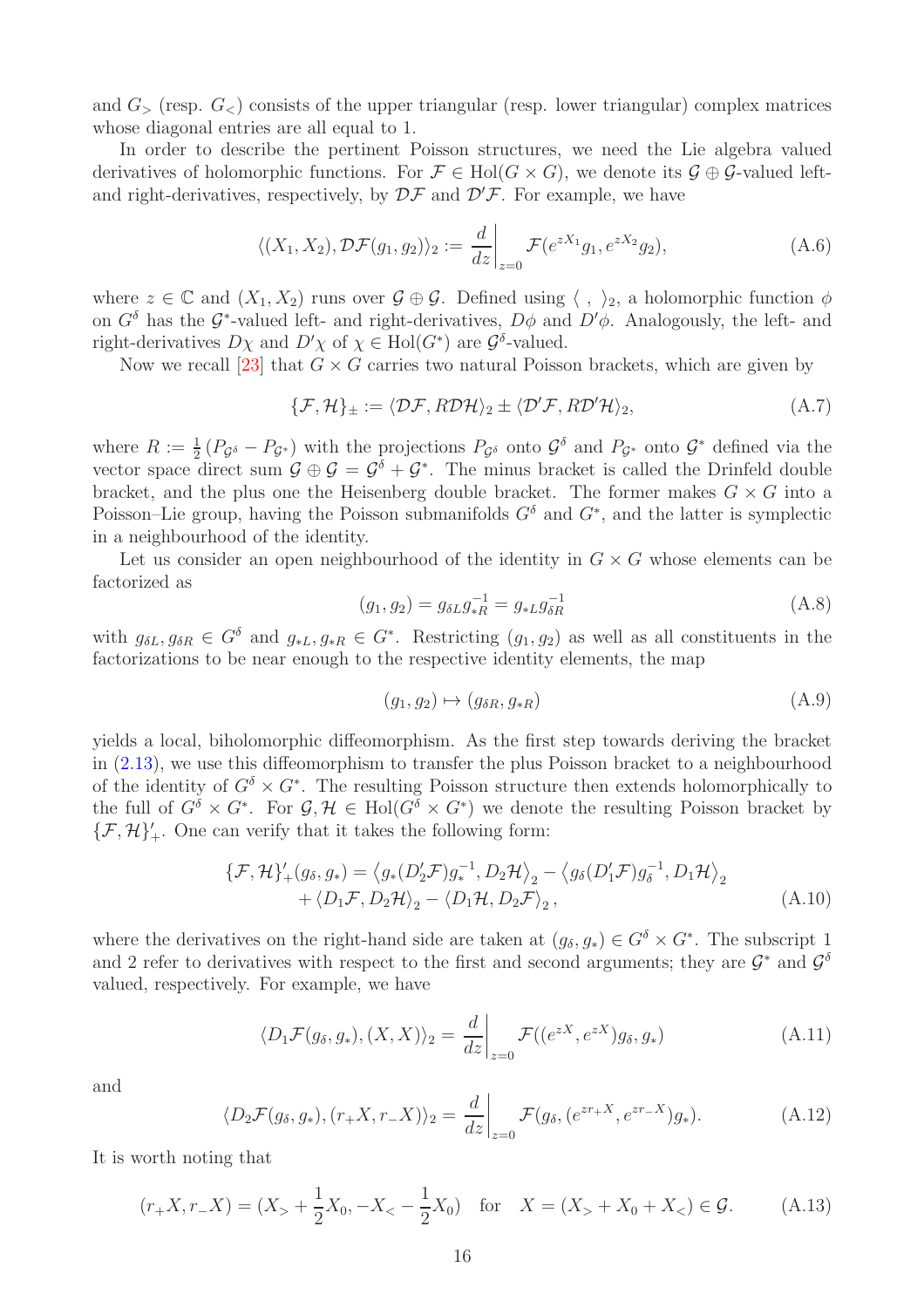and  $G<sub>></sub>$  (resp.  $G$ ) consists of the upper triangular (resp. lower triangular) complex matrices whose diagonal entries are all equal to 1.

In order to describe the pertinent Poisson structures, we need the Lie algebra valued derivatives of holomorphic functions. For  $\mathcal{F} \in Hol(G \times G)$ , we denote its  $\mathcal{G} \oplus \mathcal{G}$ -valued leftand right-derivatives, respectively, by  $\mathcal{DF}$  and  $\mathcal{D}'\mathcal{F}$ . For example, we have

$$
\langle (X_1, X_2), \mathcal{DF}(g_1, g_2) \rangle_2 := \frac{d}{dz} \bigg|_{z=0} \mathcal{F}(e^{zX_1}g_1, e^{zX_2}g_2), \tag{A.6}
$$

where  $z \in \mathbb{C}$  and  $(X_1, X_2)$  runs over  $\mathcal{G} \oplus \mathcal{G}$ . Defined using  $\langle , \rangle_2$ , a holomorphic function  $\phi$ on  $G^{\delta}$  has the  $\mathcal{G}^*$ -valued left- and right-derivatives,  $D\phi$  and  $D'\phi$ . Analogously, the left- and right-derivatives  $D\chi$  and  $D'\chi$  of  $\chi \in Hol(G^*)$  are  $\mathcal{G}^{\delta}$ -valued.

Now we recall [\[23\]](#page-19-3) that  $G \times G$  carries two natural Poisson brackets, which are given by

<span id="page-15-1"></span>
$$
\{\mathcal{F},\mathcal{H}\}_{\pm} := \langle \mathcal{DF}, R\mathcal{D}\mathcal{H}\rangle_2 \pm \langle \mathcal{D}'\mathcal{F}, R\mathcal{D}'\mathcal{H}\rangle_2, \tag{A.7}
$$

where  $R := \frac{1}{2} (P_{\mathcal{G}^{\delta}} - P_{\mathcal{G}^*})$  with the projections  $P_{\mathcal{G}^{\delta}}$  onto  $\mathcal{G}^{\delta}$  and  $P_{\mathcal{G}^*}$  onto  $\mathcal{G}^*$  defined via the vector space direct sum  $\mathcal{G} \oplus \mathcal{G} = \mathcal{G}^{\delta} + \mathcal{G}^*$ . The minus bracket is called the Drinfeld double bracket, and the plus one the Heisenberg double bracket. The former makes  $G \times G$  into a Poisson–Lie group, having the Poisson submanifolds  $G^{\delta}$  and  $G^*$ , and the latter is symplectic in a neighbourhood of the identity.

Let us consider an open neighbourhood of the identity in  $G \times G$  whose elements can be factorized as

$$
(g_1, g_2) = g_{\delta L} g_{*R}^{-1} = g_{*L} g_{\delta R}^{-1}
$$
\n(A.8)

with  $g_{\delta L}, g_{\delta R} \in G^{\delta}$  and  $g_{*L}, g_{*R} \in G^*$ . Restricting  $(g_1, g_2)$  as well as all constituents in the factorizations to be near enough to the respective identity elements, the map

$$
(g_1, g_2) \mapsto (g_{\delta R}, g_{*R}) \tag{A.9}
$$

yields a local, biholomorphic diffeomorphism. As the first step towards deriving the bracket in [\(2.13\)](#page-3-1), we use this diffeomorphism to transfer the plus Poisson bracket to a neighbourhood of the identity of  $G^{\delta} \times G^*$ . The resulting Poisson structure then extends holomorphically to the full of  $G^{\delta} \times G^*$ . For  $\mathcal{G}, \mathcal{H} \in Hol(G^{\delta} \times G^*)$  we denote the resulting Poisson bracket by  $\{\mathcal{F},\mathcal{H}\}'_+$ . One can verify that it takes the following form:

<span id="page-15-0"></span>
$$
\{\mathcal{F}, \mathcal{H}\}'_{+}(g_{\delta}, g_{*}) = \langle g_{*}(D_{2}'\mathcal{F})g_{*}^{-1}, D_{2}\mathcal{H}\rangle_{2} - \langle g_{\delta}(D_{1}'\mathcal{F})g_{\delta}^{-1}, D_{1}\mathcal{H}\rangle_{2} \n+ \langle D_{1}\mathcal{F}, D_{2}\mathcal{H}\rangle_{2} - \langle D_{1}\mathcal{H}, D_{2}\mathcal{F}\rangle_{2},
$$
\n(A.10)

where the derivatives on the right-hand side are taken at  $(g_{\delta}, g_*) \in G^{\delta} \times G^*$ . The subscript 1 and 2 refer to derivatives with respect to the first and second arguments; they are  $\mathcal{G}^*$  and  $\mathcal{G}^{\delta}$ valued, respectively. For example, we have

<span id="page-15-2"></span>
$$
\langle D_1 \mathcal{F}(g_\delta, g_*) , (X, X) \rangle_2 = \left. \frac{d}{dz} \right|_{z=0} \mathcal{F}((e^{zX}, e^{zX}) g_\delta, g_*) \tag{A.11}
$$

and

<span id="page-15-3"></span>
$$
\langle D_2 \mathcal{F}(g_\delta, g_*) , (r_+ X, r_- X) \rangle_2 = \frac{d}{dz} \bigg|_{z=0} \mathcal{F}(g_\delta, (e^{z r_+ X}, e^{z r_- X}) g_* ). \tag{A.12}
$$

It is worth noting that

<span id="page-15-4"></span>
$$
(r_{+}X, r_{-}X) = (X_{>} + \frac{1}{2}X_0, -X_{<} - \frac{1}{2}X_0) \text{ for } X = (X_{>} + X_0 + X_{<}) \in \mathcal{G}.
$$
 (A.13)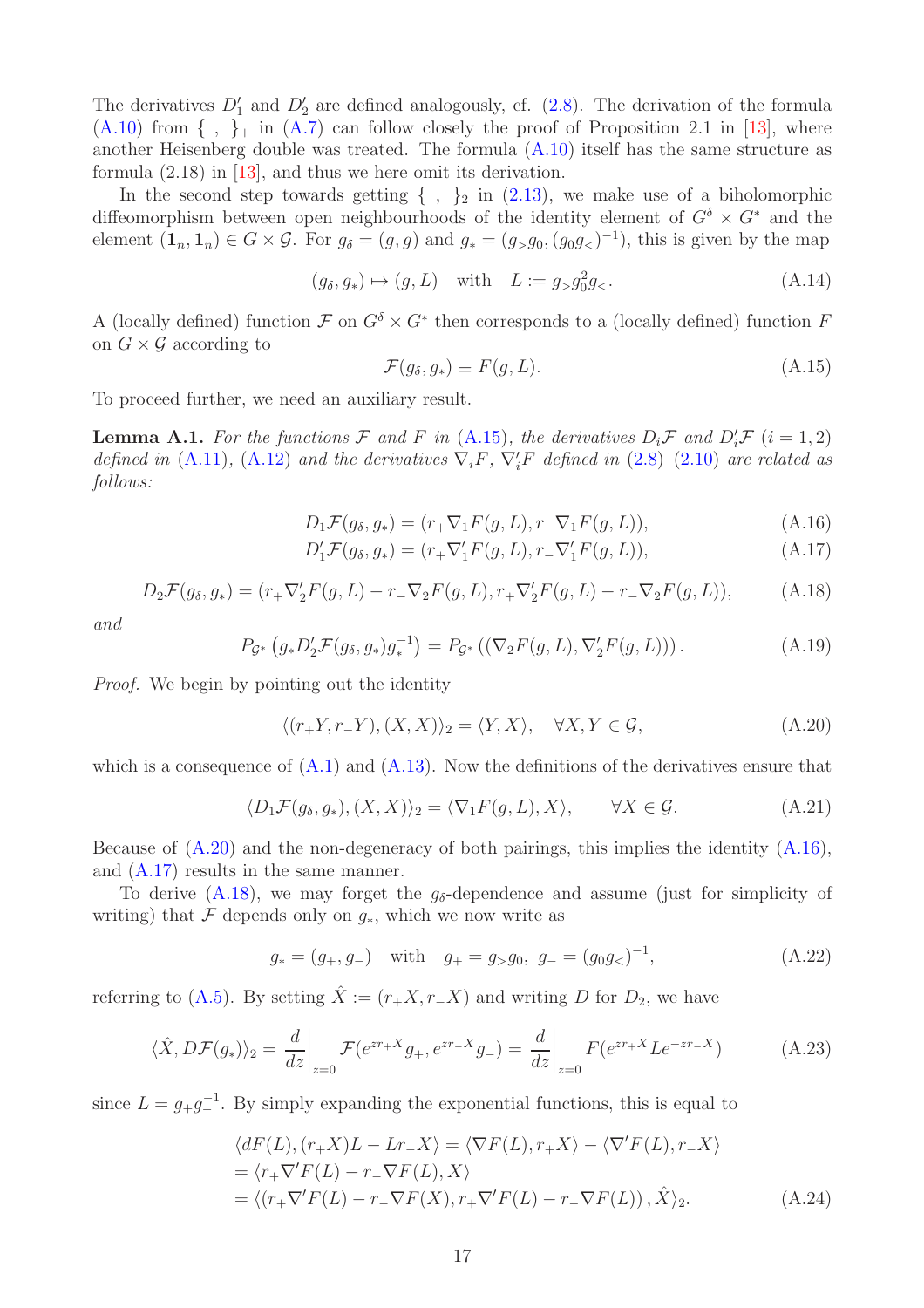The derivatives  $D'_1$  and  $D'_2$  are defined analogously, cf. [\(2.8\)](#page-3-5). The derivation of the formula  $(A.10)$  from  $\{ , \}$  in  $(A.7)$  can follow closely the proof of Proposition 2.1 in [\[13\]](#page-18-7), where another Heisenberg double was treated. The formula [\(A.10\)](#page-15-0) itself has the same structure as formula (2.18) in [\[13\]](#page-18-7), and thus we here omit its derivation.

In the second step towards getting  $\{ , \}_2$  in  $(2.13)$ , we make use of a biholomorphic diffeomorphism between open neighbourhoods of the identity element of  $G^{\delta} \times G^*$  and the element  $(1_n, 1_n) \in G \times G$ . For  $g_\delta = (g, g)$  and  $g_* = (g_{>}g_0, (g_0g_{<})^{-1})$ , this is given by the map

<span id="page-16-5"></span>
$$
(g_{\delta}, g_*) \mapsto (g, L)
$$
 with  $L := g_{>} g_0^2 g_{<}.$  (A.14)

A (locally defined) function  $\mathcal F$  on  $G^{\delta} \times G^*$  then corresponds to a (locally defined) function F on  $G \times \mathcal{G}$  according to

<span id="page-16-0"></span>
$$
\mathcal{F}(g_{\delta}, g_{*}) \equiv F(g, L). \tag{A.15}
$$

To proceed further, we need an auxiliary result.

<span id="page-16-6"></span>**Lemma A.1.** For the functions  $\mathcal F$  and  $F$  in [\(A.15\)](#page-16-0), the derivatives  $D_i \mathcal F$  and  $D'_i \mathcal F$  (i = 1, 2) defined in [\(A.11\)](#page-15-2), [\(A.12\)](#page-15-3) and the derivatives  $\nabla_i F$ ,  $\nabla'_i F$  defined in [\(2.8\)](#page-3-5)–[\(2.10\)](#page-3-2) are related as follows:

<span id="page-16-2"></span>
$$
D_1 \mathcal{F}(g_\delta, g_*) = (r_+ \nabla_1 F(g, L), r_- \nabla_1 F(g, L)),
$$
\n(A.16)

$$
D'_1 \mathcal{F}(g_\delta, g_*) = (r_+ \nabla'_1 F(g, L), r_- \nabla'_1 F(g, L)), \tag{A.17}
$$

<span id="page-16-3"></span>
$$
D_2 \mathcal{F}(g_\delta, g_*) = (r_+ \nabla_2' F(g, L) - r_- \nabla_2 F(g, L), r_+ \nabla_2' F(g, L) - r_- \nabla_2 F(g, L)), \tag{A.18}
$$

and

<span id="page-16-4"></span>
$$
P_{\mathcal{G}^*}\left(g_* D_2' \mathcal{F}(g_\delta, g_*) g_*^{-1}\right) = P_{\mathcal{G}^*}\left((\nabla_2 F(g, L), \nabla_2' F(g, L))\right). \tag{A.19}
$$

Proof. We begin by pointing out the identity

<span id="page-16-1"></span>
$$
\langle (r_{+}Y, r_{-}Y), (X, X) \rangle_{2} = \langle Y, X \rangle, \quad \forall X, Y \in \mathcal{G}, \tag{A.20}
$$

which is a consequence of  $(A.1)$  and  $(A.13)$ . Now the definitions of the derivatives ensure that

$$
\langle D_1 \mathcal{F}(g_\delta, g_*) , (X, X) \rangle_2 = \langle \nabla_1 F(g, L), X \rangle, \qquad \forall X \in \mathcal{G}.
$$
 (A.21)

Because of  $(A.20)$  and the non-degeneracy of both pairings, this implies the identity  $(A.16)$ , and [\(A.17\)](#page-16-2) results in the same manner.

To derive  $(A.18)$ , we may forget the  $q_{\delta}$ -dependence and assume (just for simplicity of writing) that  $\mathcal F$  depends only on  $g_*$ , which we now write as

$$
g_* = (g_+, g_-)
$$
 with  $g_+ = g_> g_0$ ,  $g_- = (g_0 g_<)^{-1}$ , (A.22)

referring to [\(A.5\)](#page-14-2). By setting  $\hat{X} := (r_{+}X, r_{-}X)$  and writing D for  $D_2$ , we have

$$
\langle \hat{X}, D\mathcal{F}(g_*) \rangle_2 = \frac{d}{dz} \bigg|_{z=0} \mathcal{F}(e^{zr+X}g_+, e^{zr-X}g_-) = \frac{d}{dz} \bigg|_{z=0} F(e^{zr+X}Le^{-zr-X}) \tag{A.23}
$$

since  $L = g_{+}g_{-}^{-1}$ . By simply expanding the exponential functions, this is equal to

$$
\langle dF(L), (r_{+}X)L - Lr_{-}X \rangle = \langle \nabla F(L), r_{+}X \rangle - \langle \nabla' F(L), r_{-}X \rangle
$$
  
= 
$$
\langle r_{+} \nabla' F(L) - r_{-} \nabla F(L), X \rangle
$$
  
= 
$$
\langle (r_{+} \nabla' F(L) - r_{-} \nabla F(X), r_{+} \nabla' F(L) - r_{-} \nabla F(L)), \hat{X} \rangle_{2}.
$$
 (A.24)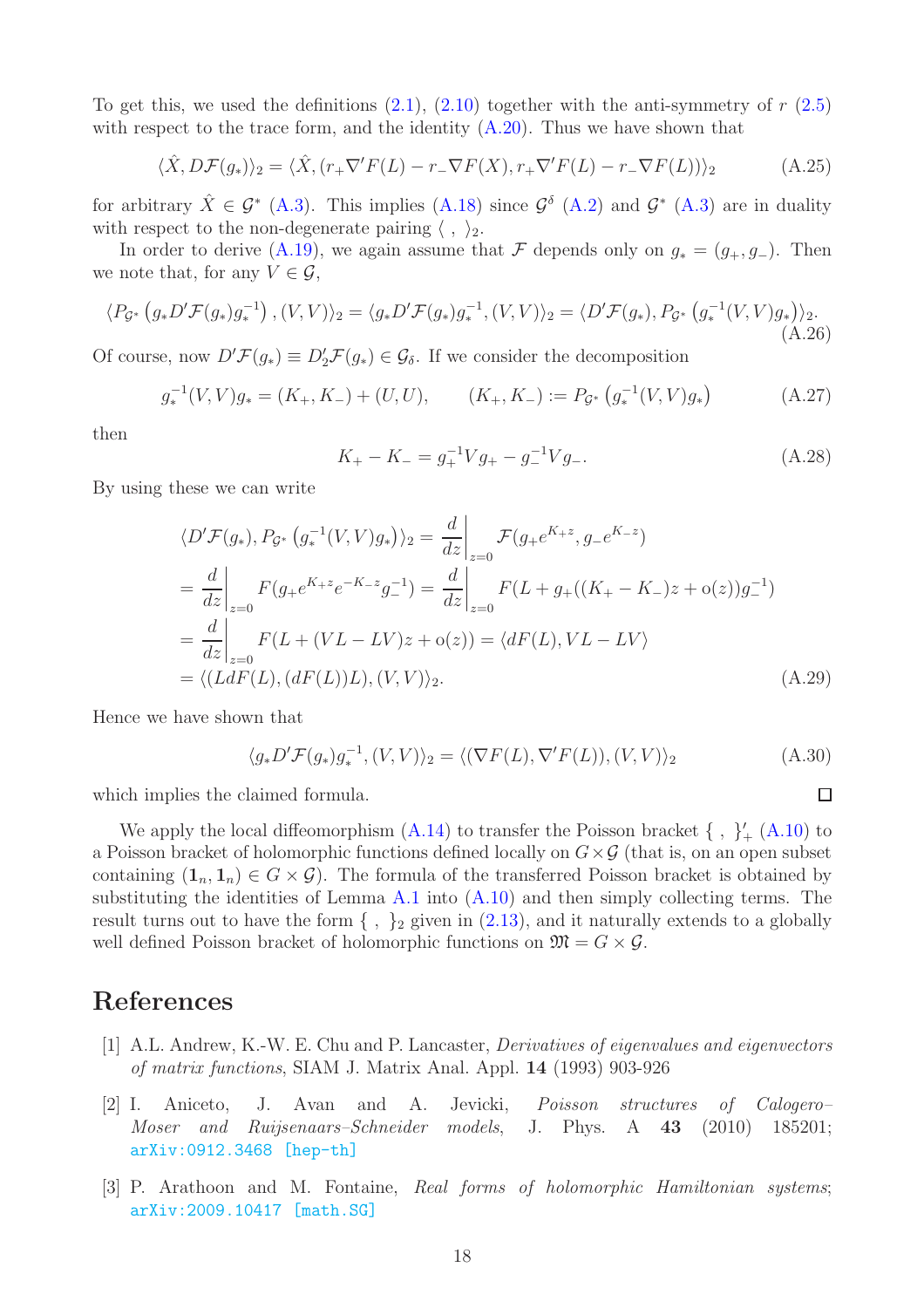To get this, we used the definitions  $(2.1)$ ,  $(2.10)$  together with the anti-symmetry of r  $(2.5)$ with respect to the trace form, and the identity  $(A.20)$ . Thus we have shown that

$$
\langle \hat{X}, D\mathcal{F}(g_*) \rangle_2 = \langle \hat{X}, (r_+ \nabla' F(L) - r_- \nabla F(X), r_+ \nabla' F(L) - r_- \nabla F(L)) \rangle_2 \tag{A.25}
$$

for arbitrary  $\hat{X} \in \mathcal{G}^*$  [\(A.3\)](#page-14-3). This implies [\(A.18\)](#page-16-3) since  $\mathcal{G}^{\delta}$  [\(A.2\)](#page-14-4) and  $\mathcal{G}^*$  (A.3) are in duality with respect to the non-degenerate pairing  $\langle , \rangle_2$ .

In order to derive [\(A.19\)](#page-16-4), we again assume that F depends only on  $g_* = (g_+, g_-)$ . Then we note that, for any  $V \in \mathcal{G}$ ,

$$
\langle P_{\mathcal{G}^*} \left( g_* D' \mathcal{F} (g_*) g_*^{-1} \right), (V, V) \rangle_2 = \langle g_* D' \mathcal{F} (g_*) g_*^{-1}, (V, V) \rangle_2 = \langle D' \mathcal{F} (g_*), P_{\mathcal{G}^*} \left( g_*^{-1} (V, V) g_* \right) \rangle_2. \tag{A.26}
$$

Of course, now  $D'\mathcal{F}(g_*) \equiv D'_2\mathcal{F}(g_*) \in \mathcal{G}_\delta$ . If we consider the decomposition

$$
g_*^{-1}(V, V)g_* = (K_+, K_-) + (U, U), \qquad (K_+, K_-) := P_{\mathcal{G}^*}\left(g_*^{-1}(V, V)g_*\right) \tag{A.27}
$$

then

$$
K_{+} - K_{-} = g_{+}^{-1} V g_{+} - g_{-}^{-1} V g_{-}.
$$
\n(A.28)

By using these we can write

$$
\langle D'F(g_*) , P_{\mathcal{G}^*} (g_*^{-1}(V, V)g_*) \rangle_2 = \frac{d}{dz} \Big|_{z=0} \mathcal{F}(g_+ e^{K_+ z}, g_- e^{K_- z})
$$
  
= 
$$
\frac{d}{dz} \Big|_{z=0} F(g_+ e^{K_+ z} e^{-K_- z} g_-^{-1}) = \frac{d}{dz} \Big|_{z=0} F(L + g_+((K_+ - K_-)z + o(z))g_-^{-1})
$$
  
= 
$$
\frac{d}{dz} \Big|_{z=0} F(L + (VL - LV)z + o(z)) = \langle dF(L), VL - LV \rangle
$$
  
= 
$$
\langle (L dF(L), (dF(L))L), (V, V) \rangle_2.
$$
 (A.29)

Hence we have shown that

$$
\langle g_* D' \mathcal{F}(g_*) g_*^{-1}, (V, V) \rangle_2 = \langle (\nabla F(L), \nabla' F(L)), (V, V) \rangle_2 \tag{A.30}
$$

 $\Box$ 

which implies the claimed formula.

We apply the local diffeomorphism  $(A.14)$  to transfer the Poisson bracket  $\{ , \}^{\prime}_{+} (A.10)$  $\{ , \}^{\prime}_{+} (A.10)$  to a Poisson bracket of holomorphic functions defined locally on  $G \times \mathcal{G}$  (that is, on an open subset containing  $(1_n, 1_n) \in G \times G$ . The formula of the transferred Poisson bracket is obtained by substituting the identities of Lemma  $A.1$  into  $(A.10)$  and then simply collecting terms. The result turns out to have the form  $\{ , \}$ <sub>2</sub> given in  $(2.13)$ , and it naturally extends to a globally well defined Poisson bracket of holomorphic functions on  $\mathfrak{M} = G \times \mathcal{G}$ .

# <span id="page-17-1"></span>References

- [1] A.L. Andrew, K.-W. E. Chu and P. Lancaster, Derivatives of eigenvalues and eigenvectors of matrix functions, SIAM J. Matrix Anal. Appl. 14 (1993) 903-926
- <span id="page-17-0"></span>[2] I. Aniceto, J. Avan and A. Jevicki, Poisson structures of Calogero– Moser and Ruijsenaars–Schneider models, J. Phys. A 43 (2010) 185201; [arXiv:0912.3468 \[hep-th\]](https://arxiv.org/abs/0912.3468)
- <span id="page-17-2"></span>[3] P. Arathoon and M. Fontaine, Real forms of holomorphic Hamiltonian systems; [arXiv:2009.10417 \[math.SG\]](https://arxiv.org/abs/2009.10417)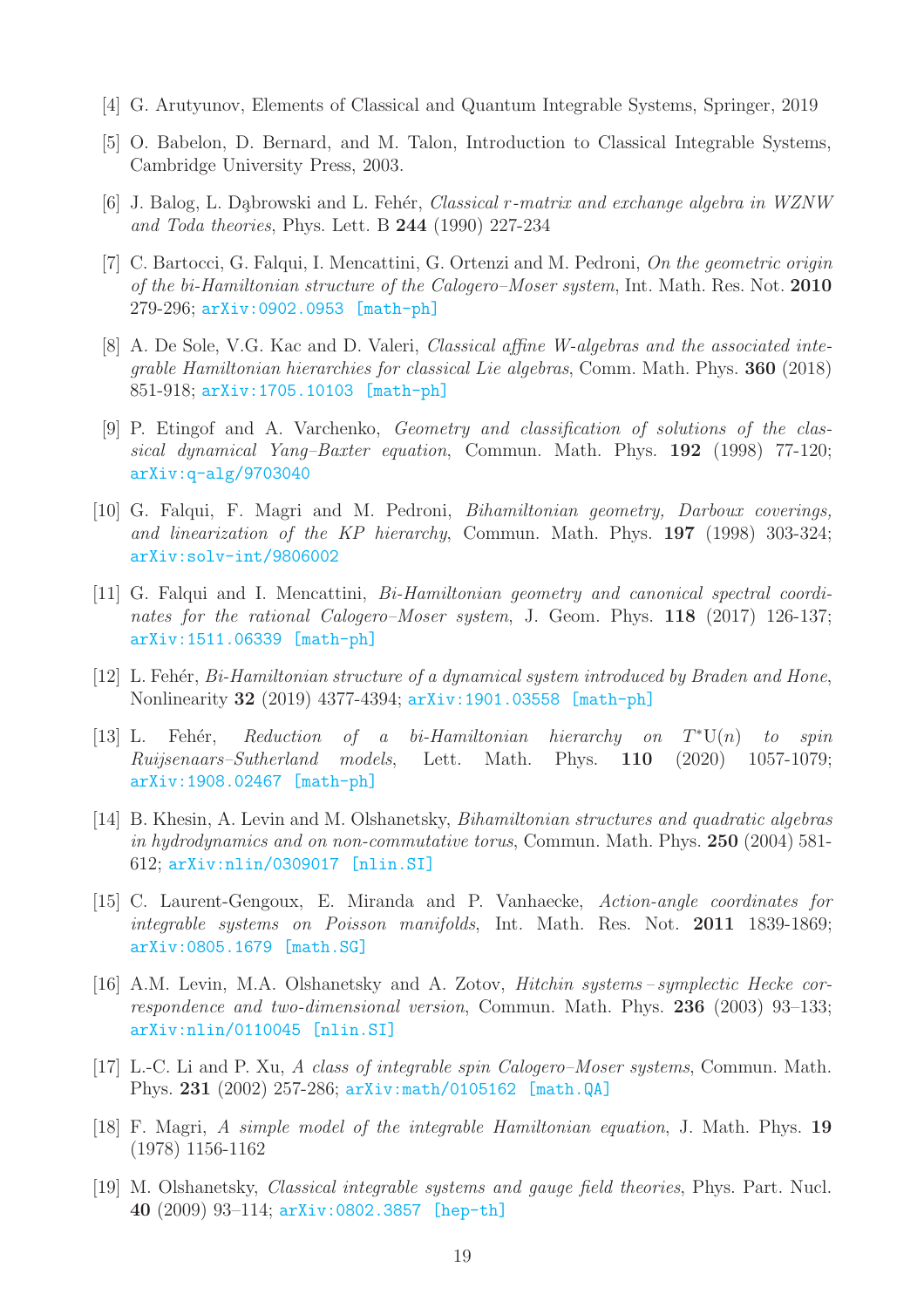- <span id="page-18-1"></span><span id="page-18-0"></span>[4] G. Arutyunov, Elements of Classical and Quantum Integrable Systems, Springer, 2019
- <span id="page-18-8"></span>[5] O. Babelon, D. Bernard, and M. Talon, Introduction to Classical Integrable Systems, Cambridge University Press, 2003.
- <span id="page-18-4"></span>[6] J. Balog, L. Dąbrowski and L. Fehér, *Classical r-matrix and exchange algebra in WZNW* and Toda theories, Phys. Lett. B 244 (1990) 227-234
- [7] C. Bartocci, G. Falqui, I. Mencattini, G. Ortenzi and M. Pedroni, On the geometric origin of the bi-Hamiltonian structure of the Calogero–Moser system, Int. Math. Res. Not. 2010 279-296; [arXiv:0902.0953 \[math-ph\]](https://arxiv.org/abs/0902.0953)
- <span id="page-18-3"></span>[8] A. De Sole, V.G. Kac and D. Valeri, Classical affine W-algebras and the associated integrable Hamiltonian hierarchies for classical Lie algebras, Comm. Math. Phys. 360 (2018) 851-918; [arXiv:1705.10103 \[math-ph\]](https://arxiv.org/abs/1705.10103)
- <span id="page-18-9"></span>[9] P. Etingof and A. Varchenko, Geometry and classification of solutions of the classical dynamical Yang–Baxter equation, Commun. Math. Phys. 192 (1998) 77-120; [arXiv:q-alg/9703040](https://arxiv.org/abs/q-alg/9703040)
- <span id="page-18-11"></span>[10] G. Falqui, F. Magri and M. Pedroni, Bihamiltonian geometry, Darboux coverings, and linearization of the KP hierarchy, Commun. Math. Phys. 197 (1998) 303-324; [arXiv:solv-int/9806002](https://arxiv.org/abs/solv-int/9806002)
- <span id="page-18-5"></span>[11] G. Falqui and I. Mencattini, Bi-Hamiltonian geometry and canonical spectral coordinates for the rational Calogero–Moser system, J. Geom. Phys. 118 (2017) 126-137; [arXiv:1511.06339 \[math-ph\]](https://arxiv.org/abs/1511.06339)
- <span id="page-18-6"></span>[12] L. Fehér, Bi-Hamiltonian structure of a dynamical system introduced by Braden and Hone, Nonlinearity 32 (2019) 4377-4394; [arXiv:1901.03558 \[math-ph\]](https://arxiv.org/abs/1901.03558)
- <span id="page-18-7"></span>[13] L. Fehér, Reduction of a bi-Hamiltonian hierarchy on  $T^*U(n)$  to spin Ruijsenaars–Sutherland models, Lett. Math. Phys. 110 (2020) 1057-1079; [arXiv:1908.02467 \[math-ph\]](https://arxiv.org/abs/1908.02467)
- <span id="page-18-13"></span>[14] B. Khesin, A. Levin and M. Olshanetsky, Bihamiltonian structures and quadratic algebras in hydrodynamics and on non-commutative torus, Commun. Math. Phys. 250 (2004) 581- 612; [arXiv:nlin/0309017 \[nlin.SI\]](https://arxiv.org/abs/nlin/0309017)
- <span id="page-18-12"></span>[15] C. Laurent-Gengoux, E. Miranda and P. Vanhaecke, Action-angle coordinates for integrable systems on Poisson manifolds, Int. Math. Res. Not. 2011 1839-1869; [arXiv:0805.1679 \[math.SG\]](https://arxiv.org/abs/0805.1679)
- <span id="page-18-14"></span>[16] A.M. Levin, M.A. Olshanetsky and A. Zotov, *Hitchin systems-symplectic Hecke cor*respondence and two-dimensional version, Commun. Math. Phys. 236 (2003) 93–133; [arXiv:nlin/0110045 \[nlin.SI\]](https://arxiv.org/abs/nlin/0110045)
- <span id="page-18-10"></span>[17] L.-C. Li and P. Xu, A class of integrable spin Calogero–Moser systems, Commun. Math. Phys. 231 (2002) 257-286; [arXiv:math/0105162 \[math.QA\]](https://arxiv.org/abs/math/0105162)
- <span id="page-18-2"></span>[18] F. Magri, A simple model of the integrable Hamiltonian equation, J. Math. Phys. 19 (1978) 1156-1162
- <span id="page-18-15"></span>[19] M. Olshanetsky, Classical integrable systems and gauge field theories, Phys. Part. Nucl. 40 (2009) 93–114; [arXiv:0802.3857 \[hep-th\]](https://arxiv.org/abs/0802.3857)